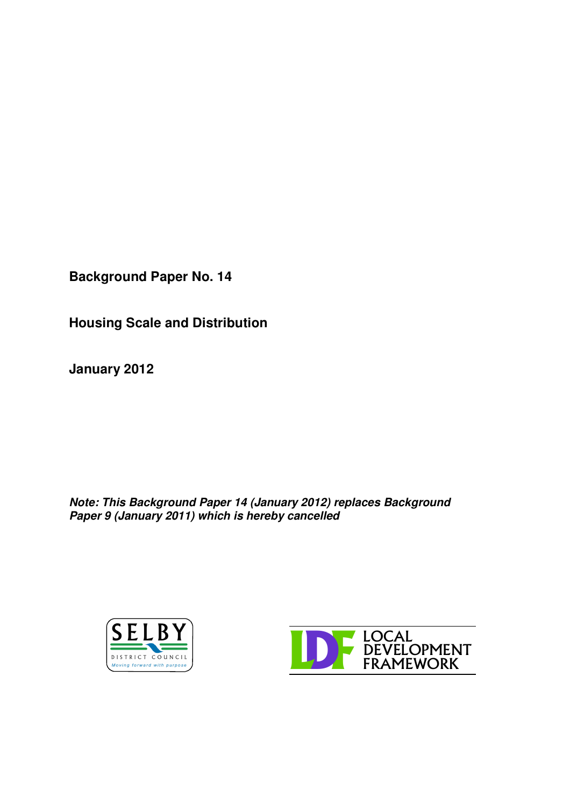**Background Paper No. 14**

**Housing Scale and Distribution**

**January 2012**

*Note: This Background Paper 14 (January 2012) replaces Background Paper 9 (January 2011) which is hereby cancelled*



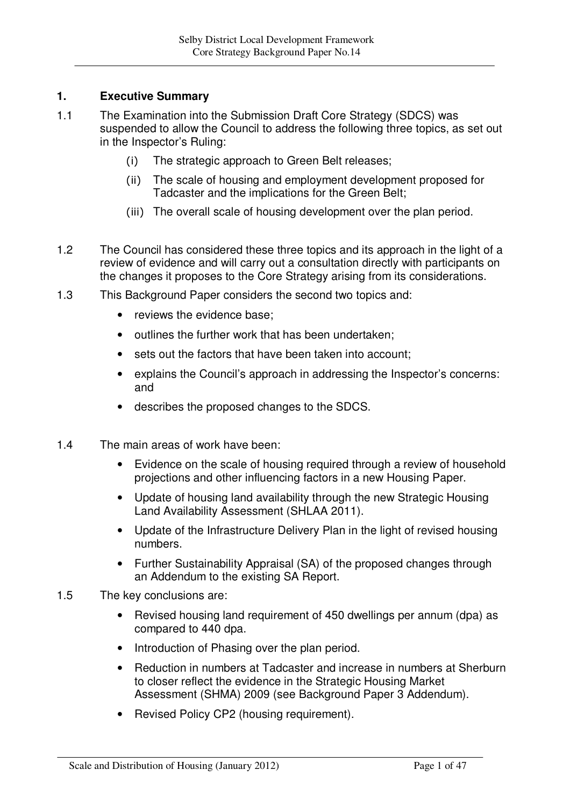# **1. Executive Summary**

- 1.1 The Examination into the Submission Draft Core Strategy (SDCS) was suspended to allow the Council to address the following three topics, as set out in the Inspector's Ruling:
	- $(i)$ The strategic approach to Green Belt releases;
	- ii) The scale of housing and employment development proposed for Tadcaster and the implications for the Green Belt;
	- (iii) The overall scale of housing development over the plan period.
- 1.2 The Council has considered these three topics and its approach in the light of a review of evidence and will carry out a consultation directly with participants on the changes it proposes to the Core Strategy arising from its considerations.
- 1.3 This Background Paper considers the second two topics and:
	- reviews the evidence base:
	- outlines the further work that has been undertaken;
	- sets out the factors that have been taken into account;
	- explains the Council's approach in addressing the Inspector's concerns: and
	- describes the proposed changes to the SDCS.
- 1.4 The main areas of work have been:
	- Evidence on the scale of housing required through a review of household projections and other influencing factors in a new Housing Paper.
	- Update of housing land availability through the new Strategic Housing Land Availability Assessment (SHLAA 2011).
	- Update of the Infrastructure Delivery Plan in the light of revised housing numbers.
	- Further Sustainability Appraisal (SA) of the proposed changes through an Addendum to the existing SA Report.
- 1.5 The key conclusions are:
	- Revised housing land requirement of 450 dwellings per annum (dpa) as compared to 440 dpa.
	- Introduction of Phasing over the plan period.
	- Reduction in numbers at Tadcaster and increase in numbers at Sherburn to closer reflect the evidence in the Strategic Housing Market Assessment (SHMA) 2009 (see Background Paper 3 Addendum).
	- Revised Policy CP2 (housing requirement).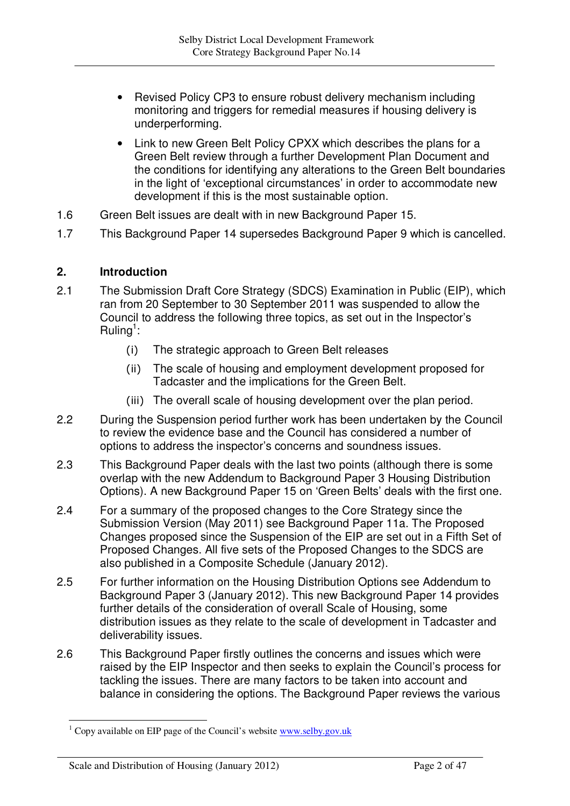- Revised Policy CP3 to ensure robust delivery mechanism including monitoring and triggers for remedial measures if housing delivery is underperforming.
- Link to new Green Belt Policy CPXX which describes the plans for a Green Belt review through a further Development Plan Document and the conditions for identifying any alterations to the Green Belt boundaries in the light of 'exceptional circumstances' in order to accommodate new development if this is the most sustainable option.
- 1.6 Green Belt issues are dealt with in new Background Paper 15.
- 1.7 This Background Paper 14 supersedes Background Paper 9 which is cancelled.

### **2. Introduction**

- 2.1 The Submission Draft Core Strategy (SDCS) Examination in Public (EIP), which ran from 20 September to 30 September 2011 was suspended to allow the Council to address the following three topics, as set out in the Inspector's Ruling<sup>1</sup>:
	- $(i)$ The strategic approach to Green Belt releases
	- ii) The scale of housing and employment development proposed for Tadcaster and the implications for the Green Belt.
	- (iii) The overall scale of housing development over the plan period.
- 2.2 During the Suspension period further work has been undertaken by the Council to review the evidence base and the Council has considered a number of options to address the inspector's concerns and soundness issues.
- 2.3 This Background Paper deals with the last two points (although there is some overlap with the new Addendum to Background Paper 3 Housing Distribution Options). A new Background Paper 15 on 'Green Belts' deals with the first one.
- 2.4 For a summary of the proposed changes to the Core Strategy since the Submission Version (May 2011) see Background Paper 11a. The Proposed Changes proposed since the Suspension of the EIP are set out in a Fifth Set of Proposed Changes. All five sets of the Proposed Changes to the SDCS are also published in a Composite Schedule (January 2012).
- 2.5 For further information on the Housing Distribution Options see Addendum to Background Paper 3 (January 2012). This new Background Paper 14 provides further details of the consideration of overall Scale of Housing, some distribution issues as they relate to the scale of development in Tadcaster and deliverability issues.
- 2.6 This Background Paper firstly outlines the concerns and issues which were raised by the EIP Inspector and then seeks to explain the Council's process for tackling the issues. There are many factors to be taken into account and balance in considering the options. The Background Paper reviews the various

 $1 \text{ Copy available on EIP page of the Council's website }$  www.selby.gov.uk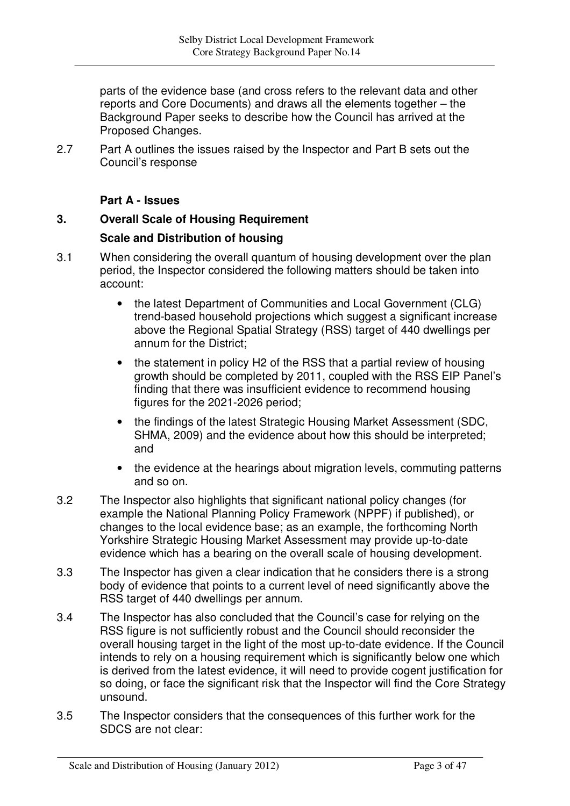parts of the evidence base (and cross refers to the relevant data and other reports and Core Documents) and draws all the elements together – the Background Paper seeks to describe how the Council has arrived at the Proposed Changes.

2.7 Part A outlines the issues raised by the Inspector and Part B sets out the Council's response

## **Part A - Issues**

# **3. Overall Scale of Housing Requirement**

## **Scale and Distribution of housing**

- 3.1 When considering the overall quantum of housing development over the plan period, the Inspector considered the following matters should be taken into account:
	- the latest Department of Communities and Local Government (CLG) trend-based household projections which suggest a significant increase above the Regional Spatial Strategy (RSS) target of 440 dwellings per annum for the District;
	- the statement in policy H2 of the RSS that a partial review of housing growth should be completed by 2011, coupled with the RSS EIP Panel's finding that there was insufficient evidence to recommend housing figures for the 2021-2026 period;
	- the findings of the latest Strategic Housing Market Assessment (SDC, SHMA, 2009) and the evidence about how this should be interpreted; and
	- the evidence at the hearings about migration levels, commuting patterns and so on.
- 3.2 The Inspector also highlights that significant national policy changes (for example the National Planning Policy Framework (NPPF) if published), or changes to the local evidence base; as an example, the forthcoming North Yorkshire Strategic Housing Market Assessment may provide up-to-date evidence which has a bearing on the overall scale of housing development.
- 3.3 The Inspector has given a clear indication that he considers there is a strong body of evidence that points to a current level of need significantly above the RSS target of 440 dwellings per annum.
- 3.4 The Inspector has also concluded that the Council's case for relying on the RSS figure is not sufficiently robust and the Council should reconsider the overall housing target in the light of the most up-to-date evidence. If the Council intends to rely on a housing requirement which is significantly below one which is derived from the latest evidence, it will need to provide cogent justification for so doing, or face the significant risk that the Inspector will find the Core Strategy unsound.
- 3.5 The Inspector considers that the consequences of this further work for the SDCS are not clear: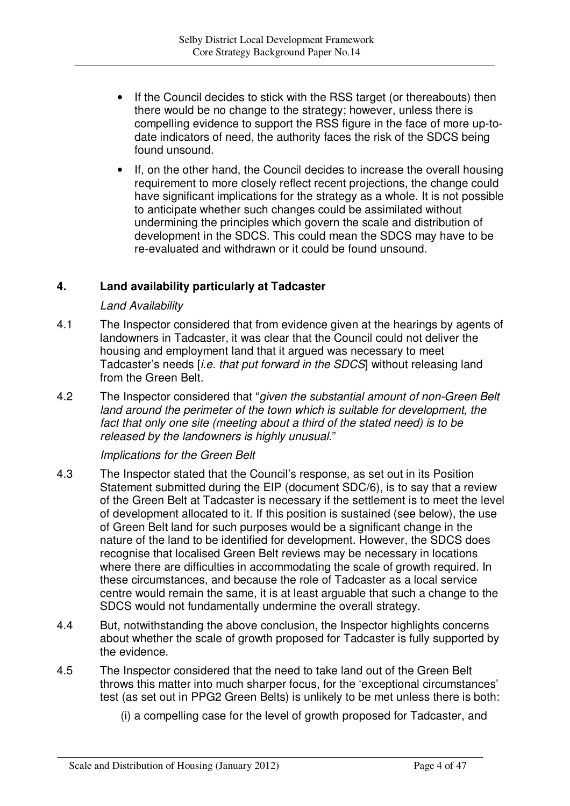- If the Council decides to stick with the RSS target (or thereabouts) then there would be no change to the strategy; however, unless there is compelling evidence to support the RSS figure in the face of more up-todate indicators of need, the authority faces the risk of the SDCS being found unsound.
- If, on the other hand, the Council decides to increase the overall housing requirement to more closely reflect recent projections, the change could have significant implications for the strategy as a whole. It is not possible to anticipate whether such changes could be assimilated without undermining the principles which govern the scale and distribution of development in the SDCS. This could mean the SDCS may have to be re-evaluated and withdrawn or it could be found unsound.

### **4. Land availability particularly at Tadcaster**

### *Land Availability*

- 4.1 The Inspector considered that from evidence given at the hearings by agents of landowners in Tadcaster, it was clear that the Council could not deliver the housing and employment land that it argued was necessary to meet Tadcaster's needs [*i.e. that put forward in the SDCS*] without releasing land from the Green Belt.
- 4.2 The Inspector considered that "*given the substantial amount of non-Green Belt land around the perimeter of the town which is suitable for development, the fact that only one site (meeting about a third of the stated need) is to be released by the landowners is highly unusual*."

### *Implications for the Green Belt*

- 4.3 The Inspector stated that the Council's response, as set out in its Position Statement submitted during the EIP (document SDC/6), is to say that a review of the Green Belt at Tadcaster is necessary if the settlement is to meet the level of development allocated to it. If this position is sustained (see below), the use of Green Belt land for such purposes would be a significant change in the nature of the land to be identified for development. However, the SDCS does recognise that localised Green Belt reviews may be necessary in locations where there are difficulties in accommodating the scale of growth required. In these circumstances, and because the role of Tadcaster as a local service centre would remain the same, it is at least arguable that such a change to the SDCS would not fundamentally undermine the overall strategy.
- 4.4 But, notwithstanding the above conclusion, the Inspector highlights concerns about whether the scale of growth proposed for Tadcaster is fully supported by the evidence.
- 4.5 The Inspector considered that the need to take land out of the Green Belt throws this matter into much sharper focus, for the 'exceptional circumstances' test (as set out in PPG2 Green Belts) is unlikely to be met unless there is both:
	- (i) a compelling case for the level of growth proposed for Tadcaster, and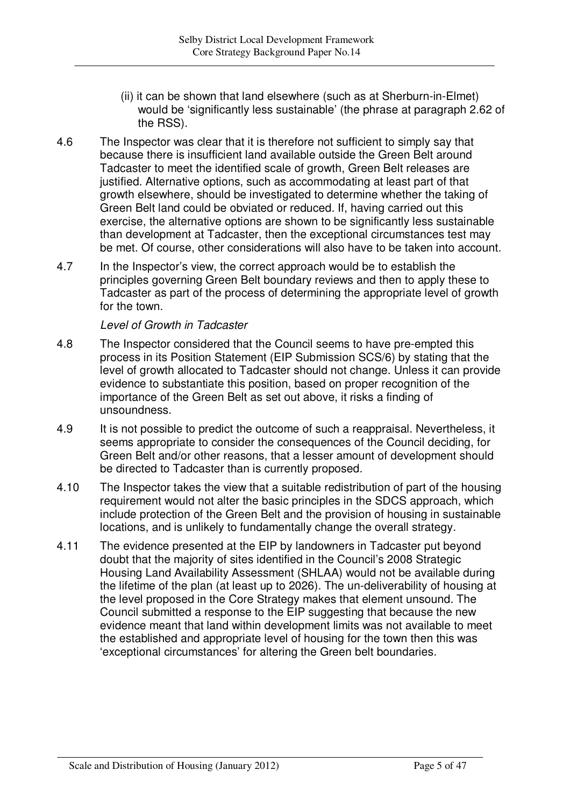- (ii) it can be shown that land elsewhere (such as at Sherburn-in-Elmet) would be 'significantly less sustainable' (the phrase at paragraph 2.62 of the RSS).
- 4.6 The Inspector was clear that it is therefore not sufficient to simply say that because there is insufficient land available outside the Green Belt around Tadcaster to meet the identified scale of growth, Green Belt releases are justified. Alternative options, such as accommodating at least part of that growth elsewhere, should be investigated to determine whether the taking of Green Belt land could be obviated or reduced. If, having carried out this exercise, the alternative options are shown to be significantly less sustainable than development at Tadcaster, then the exceptional circumstances test may be met. Of course, other considerations will also have to be taken into account.
- 4.7 In the Inspector's view, the correct approach would be to establish the principles governing Green Belt boundary reviews and then to apply these to Tadcaster as part of the process of determining the appropriate level of growth for the town.

*Level of Growth in Tadcaster*

- 4.8 The Inspector considered that the Council seems to have pre-empted this process in its Position Statement (EIP Submission SCS/6) by stating that the level of growth allocated to Tadcaster should not change. Unless it can provide evidence to substantiate this position, based on proper recognition of the importance of the Green Belt as set out above, it risks a finding of unsoundness.
- 4.9 It is not possible to predict the outcome of such a reappraisal. Nevertheless, it seems appropriate to consider the consequences of the Council deciding, for Green Belt and/or other reasons, that a lesser amount of development should be directed to Tadcaster than is currently proposed.
- 4.10 The Inspector takes the view that a suitable redistribution of part of the housing requirement would not alter the basic principles in the SDCS approach, which include protection of the Green Belt and the provision of housing in sustainable locations, and is unlikely to fundamentally change the overall strategy.
- 4.11 The evidence presented at the EIP by landowners in Tadcaster put beyond doubt that the majority of sites identified in the Council's 2008 Strategic Housing Land Availability Assessment (SHLAA) would not be available during the lifetime of the plan (at least up to 2026). The un-deliverability of housing at the level proposed in the Core Strategy makes that element unsound. The Council submitted a response to the EIP suggesting that because the new evidence meant that land within development limits was not available to meet the established and appropriate level of housing for the town then this was 'exceptional circumstances' for altering the Green belt boundaries.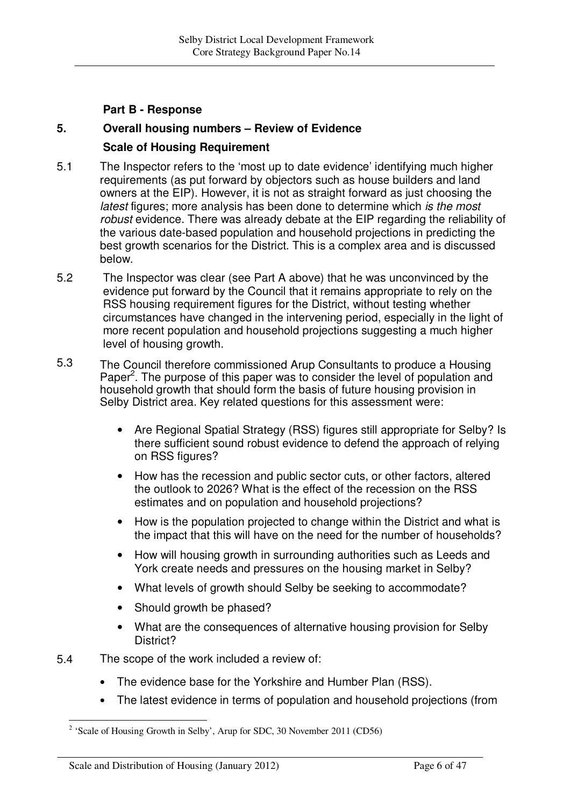### **Part B - Response**

### **5. Overall housing numbers – Review of Evidence**

### **Scale of Housing Requirement**

- 5.1 The Inspector refers to the 'most up to date evidence' identifying much higher requirements (as put forward by objectors such as house builders and land owners at the EIP). However, it is not as straight forward as just choosing the *latest* figures; more analysis has been done to determine which *is the most robust* evidence. There was already debate at the EIP regarding the reliability of the various date-based population and household projections in predicting the best growth scenarios for the District. This is a complex area and is discussed below.
- 5.2 The Inspector was clear (see Part A above) that he was unconvinced by the evidence put forward by the Council that it remains appropriate to rely on the RSS housing requirement figures for the District, without testing whether circumstances have changed in the intervening period, especially in the light of more recent population and household projections suggesting a much higher level of housing growth.
- 5.3 The Council therefore commissioned Arup Consultants to produce a Housing Paper<sup>2</sup>. The purpose of this paper was to consider the level of population and household growth that should form the basis of future housing provision in Selby District area. Key related questions for this assessment were:
	- Are Regional Spatial Strategy (RSS) figures still appropriate for Selby? Is there sufficient sound robust evidence to defend the approach of relying on RSS figures?
	- How has the recession and public sector cuts, or other factors, altered the outlook to 2026? What is the effect of the recession on the RSS estimates and on population and household projections?
	- How is the population projected to change within the District and what is the impact that this will have on the need for the number of households?
	- How will housing growth in surrounding authorities such as Leeds and York create needs and pressures on the housing market in Selby?
	- What levels of growth should Selby be seeking to accommodate?
	- Should growth be phased?
	- What are the consequences of alternative housing provision for Selby District?
- 5.4 The scope of the work included a review of:
	- The evidence base for the Yorkshire and Humber Plan (RSS).
	- The latest evidence in terms of population and household projections (from

 $2$  'Scale of Housing Growth in Selby', Arup for SDC, 30 November 2011 (CD56)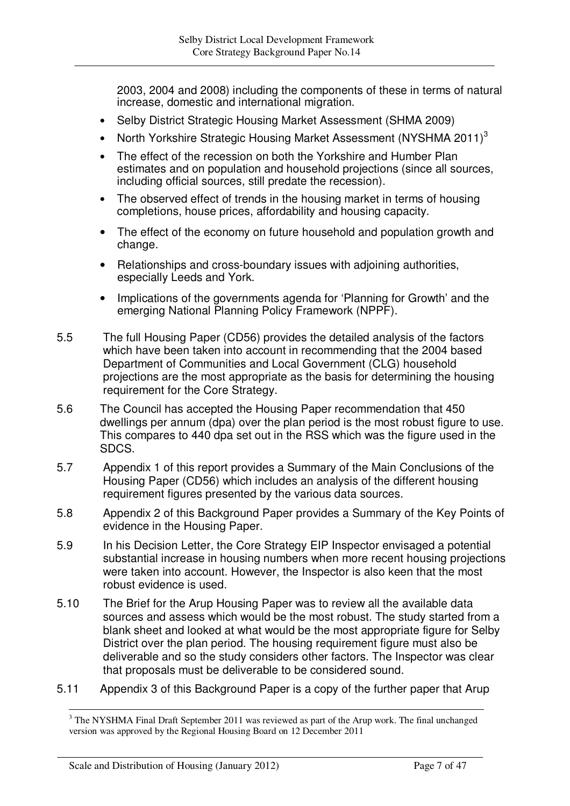2003, 2004 and 2008) including the components of these in terms of natural increase, domestic and international migration.

- Selby District Strategic Housing Market Assessment (SHMA 2009)
- North Yorkshire Strategic Housing Market Assessment (NYSHMA 2011)<sup>3</sup>
- The effect of the recession on both the Yorkshire and Humber Plan estimates and on population and household projections (since all sources, including official sources, still predate the recession).
- The observed effect of trends in the housing market in terms of housing completions, house prices, affordability and housing capacity.
- The effect of the economy on future household and population growth and change.
- Relationships and cross-boundary issues with adjoining authorities, especially Leeds and York.
- Implications of the governments agenda for 'Planning for Growth' and the emerging National Planning Policy Framework (NPPF).
- 5.5 The full Housing Paper (CD56) provides the detailed analysis of the factors which have been taken into account in recommending that the 2004 based Department of Communities and Local Government (CLG) household projections are the most appropriate as the basis for determining the housing requirement for the Core Strategy.
- 5.6 The Council has accepted the Housing Paper recommendation that 450 dwellings per annum (dpa) over the plan period is the most robust figure to use. This compares to 440 dpa set out in the RSS which was the figure used in the SDCS.
- 5.7 Appendix 1 of this report provides a Summary of the Main Conclusions of the Housing Paper (CD56) which includes an analysis of the different housing requirement figures presented by the various data sources.
- 5.8 Appendix 2 of this Background Paper provides a Summary of the Key Points of evidence in the Housing Paper.
- 5.9 In his Decision Letter, the Core Strategy EIP Inspector envisaged a potential substantial increase in housing numbers when more recent housing projections were taken into account. However, the Inspector is also keen that the most robust evidence is used.
- 5.10 The Brief for the Arup Housing Paper was to review all the available data sources and assess which would be the most robust. The study started from a blank sheet and looked at what would be the most appropriate figure for Selby District over the plan period. The housing requirement figure must also be deliverable and so the study considers other factors. The Inspector was clear that proposals must be deliverable to be considered sound.
- 5.11 Appendix 3 of this Background Paper is a copy of the further paper that Arup

 $3$  The NYSHMA Final Draft September 2011 was reviewed as part of the Arup work. The final unchanged version was approved by the Regional Housing Board on 12 December 2011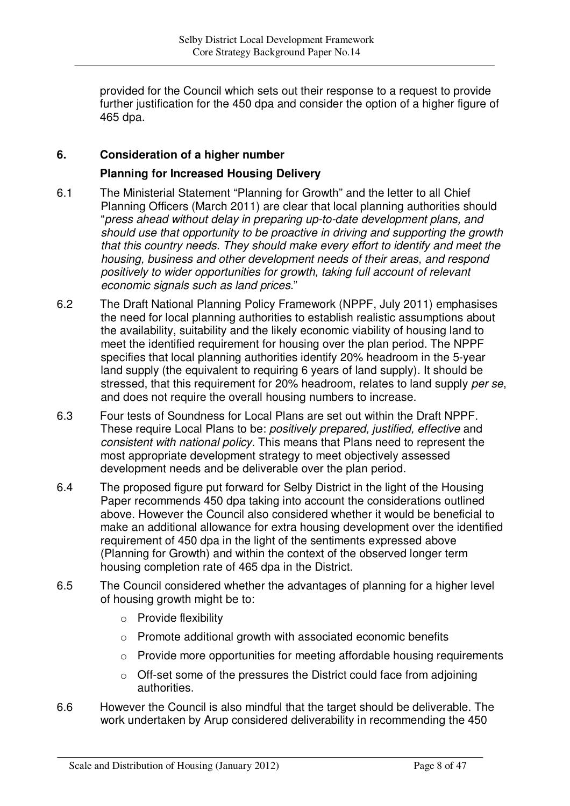provided for the Council which sets out their response to a request to provide further justification for the 450 dpa and consider the option of a higher figure of 465 dpa.

## **6. Consideration of a higher number**

### **Planning for Increased Housing Delivery**

- 6.1 The Ministerial Statement "Planning for Growth" and the letter to all Chief Planning Officers (March 2011) are clear that local planning authorities should "*press ahead without delay in preparing up-to-date development plans, and should use that opportunity to be proactive in driving and supporting the growth that this country needs. They should make every effort to identify and meet the housing, business and other development needs of their areas, and respond positively to wider opportunities for growth, taking full account of relevant economic signals such as land prices*."
- 6.2 The Draft National Planning Policy Framework (NPPF, July 2011) emphasises the need for local planning authorities to establish realistic assumptions about the availability, suitability and the likely economic viability of housing land to meet the identified requirement for housing over the plan period. The NPPF specifies that local planning authorities identify 20% headroom in the 5-year land supply (the equivalent to requiring 6 years of land supply). It should be stressed, that this requirement for 20% headroom, relates to land supply *per se*, and does not require the overall housing numbers to increase.
- 6.3 Four tests of Soundness for Local Plans are set out within the Draft NPPF. These require Local Plans to be: *positively prepared, justified, effective* and *consistent with national policy.* This means that Plans need to represent the most appropriate development strategy to meet objectively assessed development needs and be deliverable over the plan period.
- 6.4 The proposed figure put forward for Selby District in the light of the Housing Paper recommends 450 dpa taking into account the considerations outlined above. However the Council also considered whether it would be beneficial to make an additional allowance for extra housing development over the identified requirement of 450 dpa in the light of the sentiments expressed above (Planning for Growth) and within the context of the observed longer term housing completion rate of 465 dpa in the District.
- 6.5 The Council considered whether the advantages of planning for a higher level of housing growth might be to:
	- o Provide flexibility
	- o Promote additional growth with associated economic benefits
	- o Provide more opportunities for meeting affordable housing requirements
	- o Off-set some of the pressures the District could face from adjoining authorities.
- 6.6 However the Council is also mindful that the target should be deliverable. The work undertaken by Arup considered deliverability in recommending the 450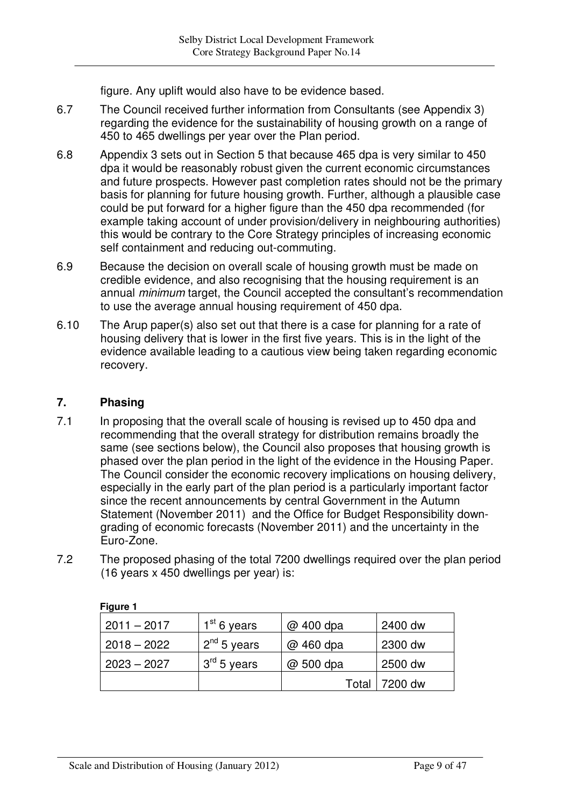figure. Any uplift would also have to be evidence based.

- 6.7 The Council received further information from Consultants (see Appendix 3) regarding the evidence for the sustainability of housing growth on a range of 450 to 465 dwellings per year over the Plan period.
- 6.8 Appendix 3 sets out in Section 5 that because 465 dpa is very similar to 450 dpa it would be reasonably robust given the current economic circumstances and future prospects. However past completion rates should not be the primary basis for planning for future housing growth. Further, although a plausible case could be put forward for a higher figure than the 450 dpa recommended (for example taking account of under provision/delivery in neighbouring authorities) this would be contrary to the Core Strategy principles of increasing economic self containment and reducing out-commuting.
- 6.9 Because the decision on overall scale of housing growth must be made on credible evidence, and also recognising that the housing requirement is an annual *minimum* target, the Council accepted the consultant's recommendation to use the average annual housing requirement of 450 dpa.
- 6.10 The Arup paper(s) also set out that there is a case for planning for a rate of housing delivery that is lower in the first five years. This is in the light of the evidence available leading to a cautious view being taken regarding economic recovery.

## **7. Phasing**

- 7.1 In proposing that the overall scale of housing is revised up to 450 dpa and recommending that the overall strategy for distribution remains broadly the same (see sections below), the Council also proposes that housing growth is phased over the plan period in the light of the evidence in the Housing Paper. The Council consider the economic recovery implications on housing delivery, especially in the early part of the plan period is a particularly important factor since the recent announcements by central Government in the Autumn Statement (November 2011) and the Office for Budget Responsibility downgrading of economic forecasts (November 2011) and the uncertainty in the Euro-Zone.
- 7.2 The proposed phasing of the total 7200 dwellings required over the plan period (16 years x 450 dwellings per year) is:

| $.2011 - 2017$ | $1st$ 6 years           | $@$ 400 dpa | 2400 dw |
|----------------|-------------------------|-------------|---------|
| $2018 - 2022$  | 2 <sup>nd</sup> 5 years | @ 460 dpa   | 2300 dw |
| $2023 - 2027$  | $3^{\text{rd}}$ 5 years | @ 500 dpa   | 2500 dw |
|                |                         | Total       | 7200 dw |

**Figure 1**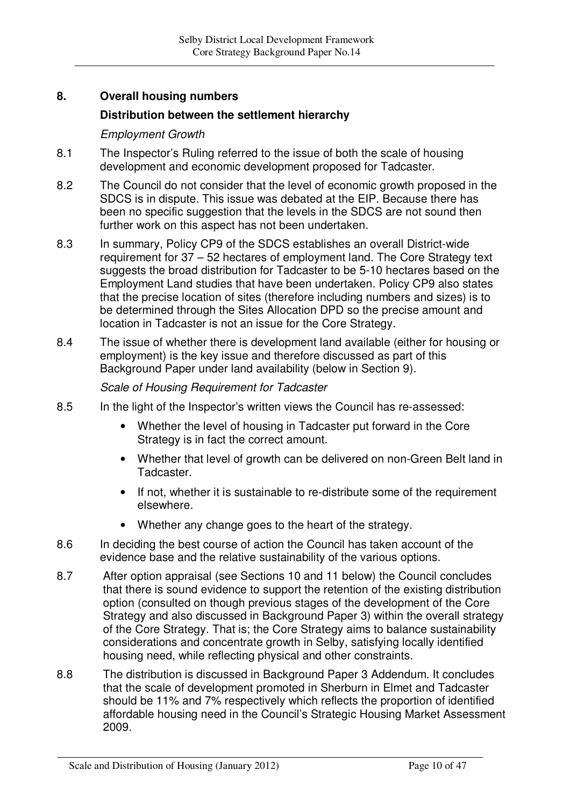# **8. Overall housing numbers**

### **Distribution between the settlement hierarchy**

### *Employment Growth*

- 8.1 The Inspector's Ruling referred to the issue of both the scale of housing development and economic development proposed for Tadcaster.
- 8.2 The Council do not consider that the level of economic growth proposed in the SDCS is in dispute. This issue was debated at the EIP. Because there has been no specific suggestion that the levels in the SDCS are not sound then further work on this aspect has not been undertaken.
- 8.3 In summary, Policy CP9 of the SDCS establishes an overall District-wide requirement for 37 – 52 hectares of employment land. The Core Strategy text suggests the broad distribution for Tadcaster to be 5-10 hectares based on the Employment Land studies that have been undertaken. Policy CP9 also states that the precise location of sites (therefore including numbers and sizes) is to be determined through the Sites Allocation DPD so the precise amount and location in Tadcaster is not an issue for the Core Strategy.
- 8.4 The issue of whether there is development land available (either for housing or employment) is the key issue and therefore discussed as part of this Background Paper under land availability (below in Section 9).

### *Scale of Housing Requirement for Tadcaster*

- 8.5 In the light of the Inspector's written views the Council has re-assessed:
	- Whether the level of housing in Tadcaster put forward in the Core Strategy is in fact the correct amount.
	- Whether that level of growth can be delivered on non-Green Belt land in Tadcaster.
	- If not, whether it is sustainable to re-distribute some of the requirement elsewhere.
	- Whether any change goes to the heart of the strategy.
- 8.6 In deciding the best course of action the Council has taken account of the evidence base and the relative sustainability of the various options.
- 8.7 After option appraisal (see Sections 10 and 11 below) the Council concludes that there is sound evidence to support the retention of the existing distribution option (consulted on though previous stages of the development of the Core Strategy and also discussed in Background Paper 3) within the overall strategy of the Core Strategy. That is; the Core Strategy aims to balance sustainability considerations and concentrate growth in Selby, satisfying locally identified housing need, while reflecting physical and other constraints.
- 8.8 The distribution is discussed in Background Paper 3 Addendum. It concludes that the scale of development promoted in Sherburn in Elmet and Tadcaster should be 11% and 7% respectively which reflects the proportion of identified affordable housing need in the Council's Strategic Housing Market Assessment 2009.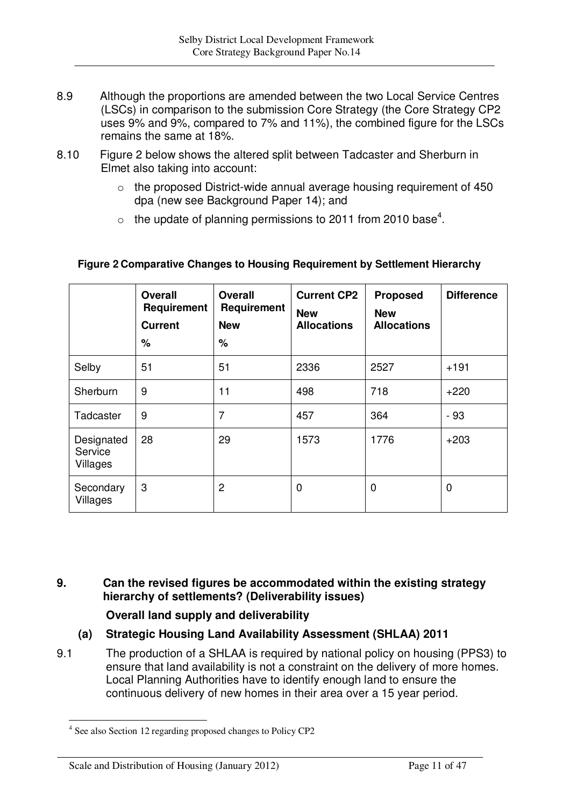- 8.9 Although the proportions are amended between the two Local Service Centres (LSCs) in comparison to the submission Core Strategy (the Core Strategy CP2 uses 9% and 9%, compared to 7% and 11%), the combined figure for the LSCs remains the same at 18%.
- 8.10 Figure 2 below shows the altered split between Tadcaster and Sherburn in Elmet also taking into account:
	- $\circ$  the proposed District-wide annual average housing requirement of 450 dpa (new see Background Paper 14); and
	- $\circ$  the update of planning permissions to 2011 from 2010 base<sup>4</sup>.

|                                   | <b>Overall</b><br>Requirement<br><b>Current</b><br>% | <b>Overall</b><br>Requirement<br><b>New</b><br>% | <b>Current CP2</b><br><b>New</b><br><b>Allocations</b> | <b>Proposed</b><br><b>New</b><br><b>Allocations</b> | <b>Difference</b> |
|-----------------------------------|------------------------------------------------------|--------------------------------------------------|--------------------------------------------------------|-----------------------------------------------------|-------------------|
| Selby                             | 51                                                   | 51                                               | 2336                                                   | 2527                                                | $+191$            |
| Sherburn                          | 9                                                    | 11                                               | 498                                                    | 718                                                 | $+220$            |
| Tadcaster                         | 9                                                    | $\overline{7}$                                   | 457                                                    | 364                                                 | - 93              |
| Designated<br>Service<br>Villages | 28                                                   | 29                                               | 1573                                                   | 1776                                                | $+203$            |
| Secondary<br>Villages             | 3                                                    | $\overline{2}$                                   | 0                                                      | $\mathbf 0$                                         | 0                 |

## **Figure 2 Comparative Changes to Housing Requirement by Settlement Hierarchy**

**9. Can the revised figures be accommodated within the existing strategy hierarchy of settlements? (Deliverability issues)**

**Overall land supply and deliverability**

# **(a) Strategic Housing Land Availability Assessment (SHLAA) 2011**

9.1 The production of a SHLAA is required by national policy on housing (PPS3) to ensure that land availability is not a constraint on the delivery of more homes. Local Planning Authorities have to identify enough land to ensure the continuous delivery of new homes in their area over a 15 year period.

#### Scale and Distribution of Housing (January 2012) Page 11 of 47

<sup>&</sup>lt;sup>4</sup> See also Section 12 regarding proposed changes to Policy CP2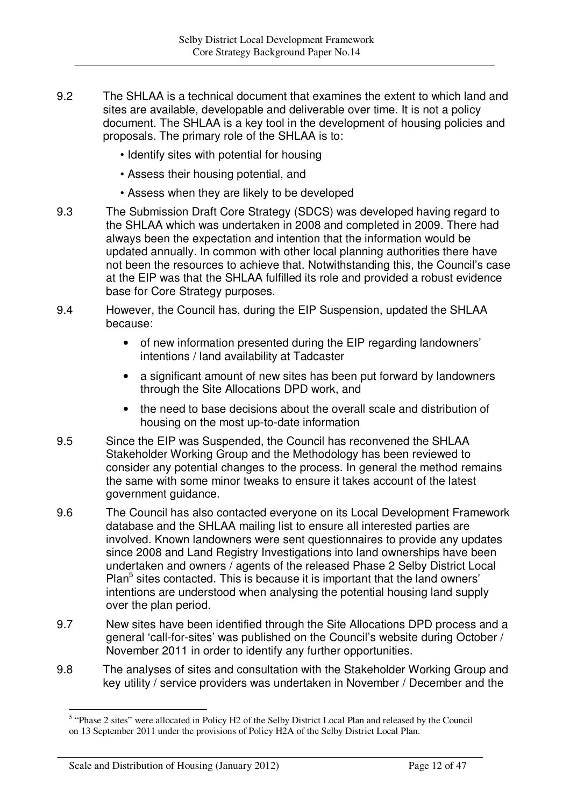- 9.2 The SHLAA is a technical document that examines the extent to which land and sites are available, developable and deliverable over time. It is not a policy document. The SHLAA is a key tool in the development of housing policies and proposals. The primary role of the SHLAA is to:
	- Identify sites with potential for housing
	- Assess their housing potential, and
	- Assess when they are likely to be developed
- 9.3 The Submission Draft Core Strategy (SDCS) was developed having regard to the SHLAA which was undertaken in 2008 and completed in 2009. There had always been the expectation and intention that the information would be updated annually. In common with other local planning authorities there have not been the resources to achieve that. Notwithstanding this, the Council's case at the EIP was that the SHLAA fulfilled its role and provided a robust evidence base for Core Strategy purposes.
- 9.4 However, the Council has, during the EIP Suspension, updated the SHLAA because:
	- of new information presented during the EIP regarding landowners' intentions / land availability at Tadcaster
	- a significant amount of new sites has been put forward by landowners through the Site Allocations DPD work, and
	- the need to base decisions about the overall scale and distribution of housing on the most up-to-date information
- 9.5 Since the EIP was Suspended, the Council has reconvened the SHLAA Stakeholder Working Group and the Methodology has been reviewed to consider any potential changes to the process. In general the method remains the same with some minor tweaks to ensure it takes account of the latest government guidance.
- 9.6 The Council has also contacted everyone on its Local Development Framework database and the SHLAA mailing list to ensure all interested parties are involved. Known landowners were sent questionnaires to provide any updates since 2008 and Land Registry Investigations into land ownerships have been undertaken and owners / agents of the released Phase 2 Selby District Local Plan<sup>5</sup> sites contacted. This is because it is important that the land owners' intentions are understood when analysing the potential housing land supply over the plan period.
- 9.7 New sites have been identified through the Site Allocations DPD process and a general 'call-for-sites' was published on the Council's website during October / November 2011 in order to identify any further opportunities.
- 9.8 The analyses of sites and consultation with the Stakeholder Working Group and key utility / service providers was undertaken in November / December and the

<sup>&</sup>lt;sup>5</sup> "Phase 2 sites" were allocated in Policy H2 of the Selby District Local Plan and released by the Council on 13 September 2011 under the provisions of Policy H2A of the Selby District Local Plan.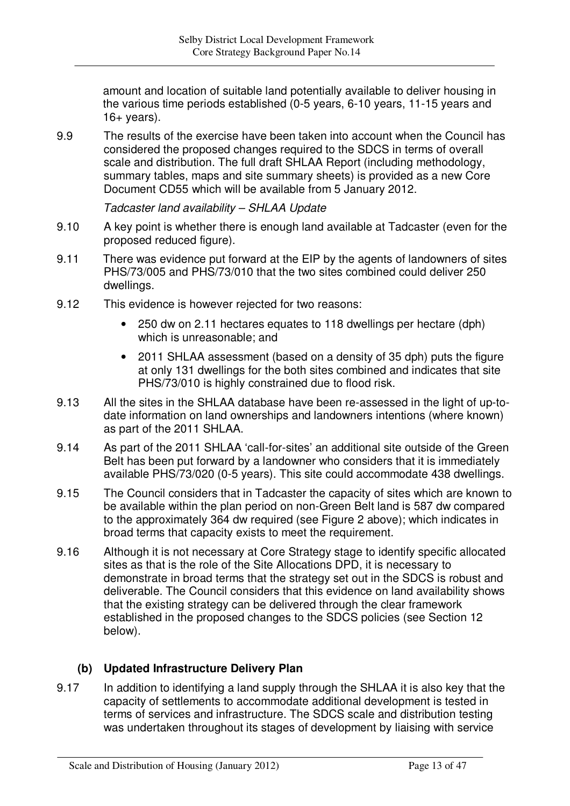amount and location of suitable land potentially available to deliver housing in the various time periods established (0-5 years, 6-10 years, 11-15 years and  $16+$  years).

9.9 The results of the exercise have been taken into account when the Council has considered the proposed changes required to the SDCS in terms of overall scale and distribution. The full draft SHLAA Report (including methodology, summary tables, maps and site summary sheets) is provided as a new Core Document CD55 which will be available from 5 January 2012.

*Tadcaster land availability – SHLAA Update*

- 9.10 A key point is whether there is enough land available at Tadcaster (even for the proposed reduced figure).
- 9.11 There was evidence put forward at the EIP by the agents of landowners of sites PHS/73/005 and PHS/73/010 that the two sites combined could deliver 250 dwellings.
- 9.12 This evidence is however rejected for two reasons:
	- 250 dw on 2.11 hectares equates to 118 dwellings per hectare (dph) which is unreasonable; and
	- 2011 SHLAA assessment (based on a density of 35 dph) puts the figure at only 131 dwellings for the both sites combined and indicates that site PHS/73/010 is highly constrained due to flood risk.
- 9.13 All the sites in the SHLAA database have been re-assessed in the light of up-todate information on land ownerships and landowners intentions (where known) as part of the 2011 SHLAA.
- 9.14 As part of the 2011 SHLAA 'call-for-sites' an additional site outside of the Green Belt has been put forward by a landowner who considers that it is immediately available PHS/73/020 (0-5 years). This site could accommodate 438 dwellings.
- 9.15 The Council considers that in Tadcaster the capacity of sites which are known to be available within the plan period on non-Green Belt land is 587 dw compared to the approximately 364 dw required (see Figure 2 above); which indicates in broad terms that capacity exists to meet the requirement.
- 9.16 Although it is not necessary at Core Strategy stage to identify specific allocated sites as that is the role of the Site Allocations DPD, it is necessary to demonstrate in broad terms that the strategy set out in the SDCS is robust and deliverable. The Council considers that this evidence on land availability shows that the existing strategy can be delivered through the clear framework established in the proposed changes to the SDCS policies (see Section 12 below).

# **(b) Updated Infrastructure Delivery Plan**

9.17 In addition to identifying a land supply through the SHLAA it is also key that the capacity of settlements to accommodate additional development is tested in terms of services and infrastructure. The SDCS scale and distribution testing was undertaken throughout its stages of development by liaising with service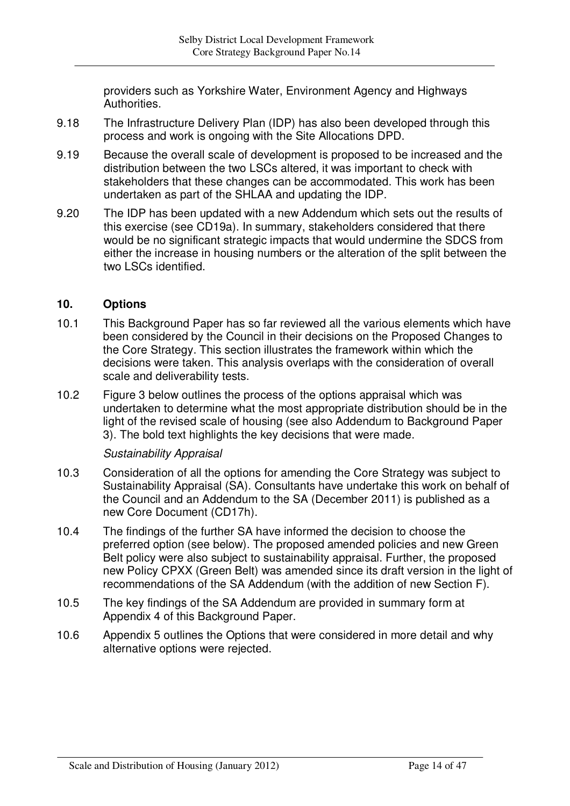providers such as Yorkshire Water, Environment Agency and Highways Authorities.

- 9.18 The Infrastructure Delivery Plan (IDP) has also been developed through this process and work is ongoing with the Site Allocations DPD.
- 9.19 Because the overall scale of development is proposed to be increased and the distribution between the two LSCs altered, it was important to check with stakeholders that these changes can be accommodated. This work has been undertaken as part of the SHLAA and updating the IDP.
- 9.20 The IDP has been updated with a new Addendum which sets out the results of this exercise (see CD19a). In summary, stakeholders considered that there would be no significant strategic impacts that would undermine the SDCS from either the increase in housing numbers or the alteration of the split between the two LSCs identified.

### **10. Options**

- 10.1 This Background Paper has so far reviewed all the various elements which have been considered by the Council in their decisions on the Proposed Changes to the Core Strategy. This section illustrates the framework within which the decisions were taken. This analysis overlaps with the consideration of overall scale and deliverability tests.
- 10.2 Figure 3 below outlines the process of the options appraisal which was undertaken to determine what the most appropriate distribution should be in the light of the revised scale of housing (see also Addendum to Background Paper 3). The bold text highlights the key decisions that were made.

### *Sustainability Appraisal*

- 10.3 Consideration of all the options for amending the Core Strategy was subject to Sustainability Appraisal (SA). Consultants have undertake this work on behalf of the Council and an Addendum to the SA (December 2011) is published as a new Core Document (CD17h).
- 10.4 The findings of the further SA have informed the decision to choose the preferred option (see below). The proposed amended policies and new Green Belt policy were also subject to sustainability appraisal. Further, the proposed new Policy CPXX (Green Belt) was amended since its draft version in the light of recommendations of the SA Addendum (with the addition of new Section F).
- 10.5 The key findings of the SA Addendum are provided in summary form at Appendix 4 of this Background Paper.
- 10.6 Appendix 5 outlines the Options that were considered in more detail and why alternative options were rejected.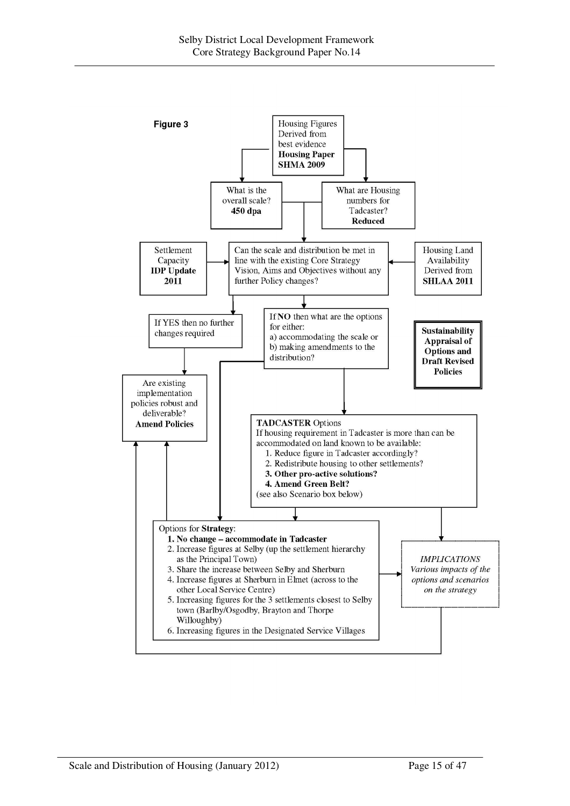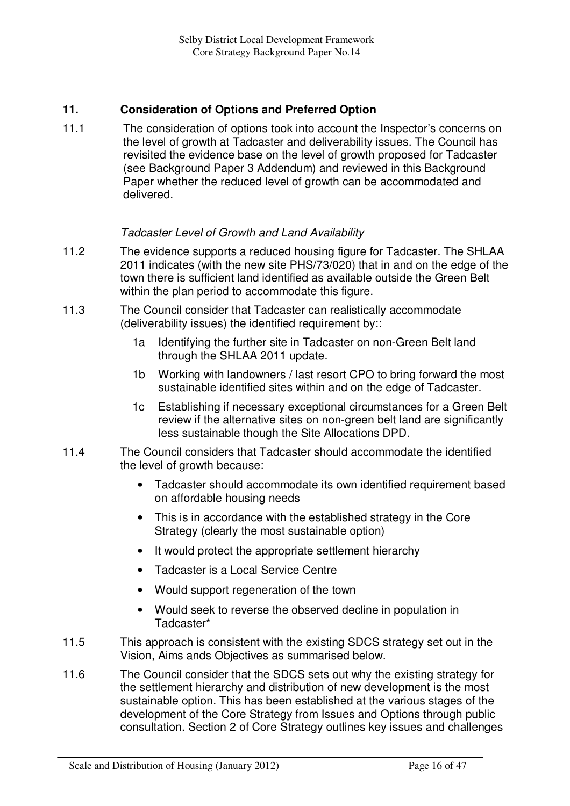# **11. Consideration of Options and Preferred Option**

11.1 The consideration of options took into account the Inspector's concerns on the level of growth at Tadcaster and deliverability issues. The Council has revisited the evidence base on the level of growth proposed for Tadcaster (see Background Paper 3 Addendum) and reviewed in this Background Paper whether the reduced level of growth can be accommodated and delivered.

### *Tadcaster Level of Growth and Land Availability*

- 11.2 The evidence supports a reduced housing figure for Tadcaster. The SHLAA 2011 indicates (with the new site PHS/73/020) that in and on the edge of the town there is sufficient land identified as available outside the Green Belt within the plan period to accommodate this figure.
- 11.3 The Council consider that Tadcaster can realistically accommodate (deliverability issues) the identified requirement by::
	- 1a Identifying the further site in Tadcaster on non-Green Belt land through the SHLAA 2011 update.
	- 1b Working with landowners / last resort CPO to bring forward the most sustainable identified sites within and on the edge of Tadcaster.
	- 1c Establishing if necessary exceptional circumstances for a Green Belt review if the alternative sites on non-green belt land are significantly less sustainable though the Site Allocations DPD.
- 11.4 The Council considers that Tadcaster should accommodate the identified the level of growth because:
	- Tadcaster should accommodate its own identified requirement based on affordable housing needs
	- This is in accordance with the established strategy in the Core Strategy (clearly the most sustainable option)
	- It would protect the appropriate settlement hierarchy
	- Tadcaster is a Local Service Centre
	- Would support regeneration of the town
	- Would seek to reverse the observed decline in population in Tadcaster\*
- 11.5 This approach is consistent with the existing SDCS strategy set out in the Vision, Aims ands Objectives as summarised below.
- 11.6 The Council consider that the SDCS sets out why the existing strategy for the settlement hierarchy and distribution of new development is the most sustainable option. This has been established at the various stages of the development of the Core Strategy from Issues and Options through public consultation. Section 2 of Core Strategy outlines key issues and challenges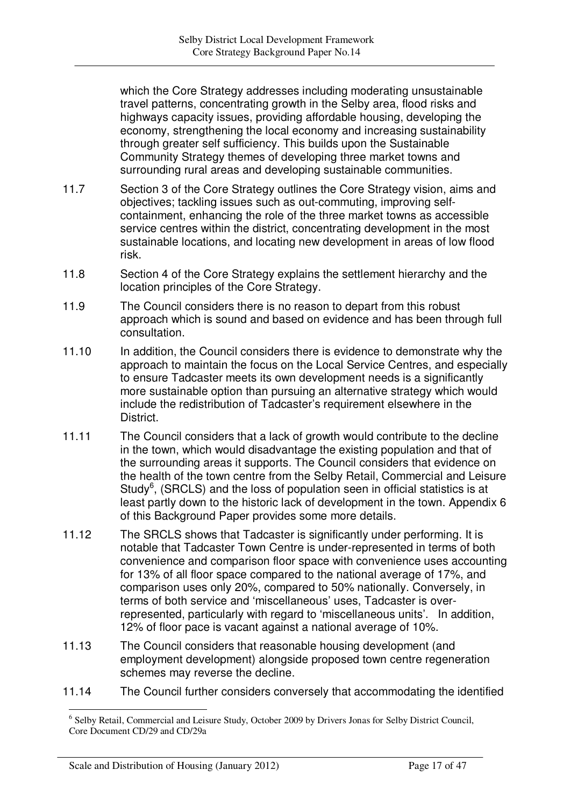which the Core Strategy addresses including moderating unsustainable travel patterns, concentrating growth in the Selby area, flood risks and highways capacity issues, providing affordable housing, developing the economy, strengthening the local economy and increasing sustainability through greater self sufficiency. This builds upon the Sustainable Community Strategy themes of developing three market towns and surrounding rural areas and developing sustainable communities.

- 11.7 Section 3 of the Core Strategy outlines the Core Strategy vision, aims and objectives; tackling issues such as out-commuting, improving selfcontainment, enhancing the role of the three market towns as accessible service centres within the district, concentrating development in the most sustainable locations, and locating new development in areas of low flood risk.
- 11.8 Section 4 of the Core Strategy explains the settlement hierarchy and the location principles of the Core Strategy.
- 11.9 The Council considers there is no reason to depart from this robust approach which is sound and based on evidence and has been through full consultation.
- 11.10 In addition, the Council considers there is evidence to demonstrate why the approach to maintain the focus on the Local Service Centres, and especially to ensure Tadcaster meets its own development needs is a significantly more sustainable option than pursuing an alternative strategy which would include the redistribution of Tadcaster's requirement elsewhere in the District.
- 11.11 The Council considers that a lack of growth would contribute to the decline in the town, which would disadvantage the existing population and that of the surrounding areas it supports. The Council considers that evidence on the health of the town centre from the Selby Retail, Commercial and Leisure Study<sup>6</sup>, (SRCLS) and the loss of population seen in official statistics is at least partly down to the historic lack of development in the town. Appendix 6 of this Background Paper provides some more details.
- 11.12 The SRCLS shows that Tadcaster is significantly under performing. It is notable that Tadcaster Town Centre is under-represented in terms of both convenience and comparison floor space with convenience uses accounting for 13% of all floor space compared to the national average of 17%, and comparison uses only 20%, compared to 50% nationally. Conversely, in terms of both service and 'miscellaneous' uses, Tadcaster is overrepresented, particularly with regard to 'miscellaneous units'. In addition, 12% of floor pace is vacant against a national average of 10%.
- 11.13 The Council considers that reasonable housing development (and employment development) alongside proposed town centre regeneration schemes may reverse the decline.
- 11.14 The Council further considers conversely that accommodating the identified

<sup>&</sup>lt;sup>6</sup> Selby Retail, Commercial and Leisure Study, October 2009 by Drivers Jonas for Selby District Council, Core Document CD/29 and CD/29a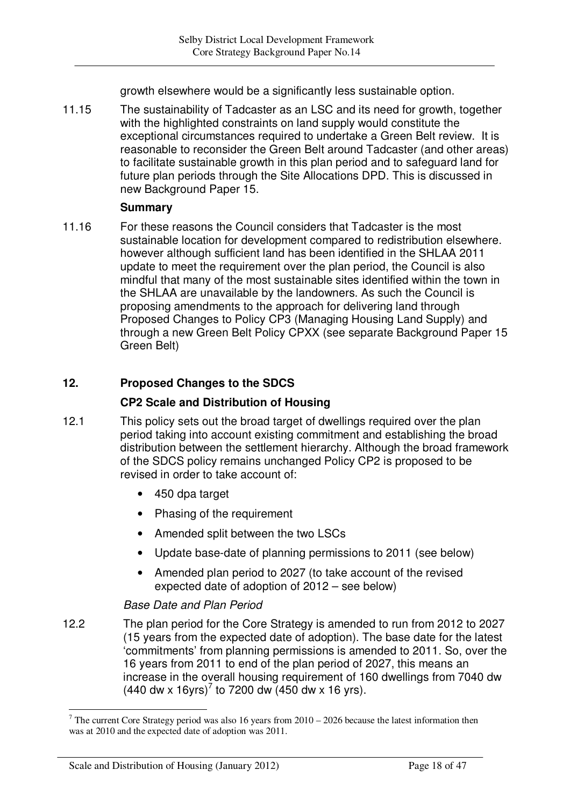growth elsewhere would be a significantly less sustainable option.

11.15 The sustainability of Tadcaster as an LSC and its need for growth, together with the highlighted constraints on land supply would constitute the exceptional circumstances required to undertake a Green Belt review. It is reasonable to reconsider the Green Belt around Tadcaster (and other areas) to facilitate sustainable growth in this plan period and to safeguard land for future plan periods through the Site Allocations DPD. This is discussed in new Background Paper 15.

### **Summary**

11.16 For these reasons the Council considers that Tadcaster is the most sustainable location for development compared to redistribution elsewhere. however although sufficient land has been identified in the SHLAA 2011 update to meet the requirement over the plan period, the Council is also mindful that many of the most sustainable sites identified within the town in the SHLAA are unavailable by the landowners. As such the Council is proposing amendments to the approach for delivering land through Proposed Changes to Policy CP3 (Managing Housing Land Supply) and through a new Green Belt Policy CPXX (see separate Background Paper 15 Green Belt)

# **12. Proposed Changes to the SDCS**

## **CP2 Scale and Distribution of Housing**

- 12.1 This policy sets out the broad target of dwellings required over the plan period taking into account existing commitment and establishing the broad distribution between the settlement hierarchy. Although the broad framework of the SDCS policy remains unchanged Policy CP2 is proposed to be revised in order to take account of:
	- 450 dpa target
	- Phasing of the requirement
	- Amended split between the two LSCs
	- Update base-date of planning permissions to 2011 (see below)
	- Amended plan period to 2027 (to take account of the revised expected date of adoption of 2012 – see below)

## *Base Date and Plan Period*

12.2 The plan period for the Core Strategy is amended to run from 2012 to 2027 (15 years from the expected date of adoption). The base date for the latest 'commitments' from planning permissions is amended to 2011. So, over the 16 years from 2011 to end of the plan period of 2027, this means an increase in the overall housing requirement of 160 dwellings from 7040 dw  $(440 \text{ dw} \times 16 \text{yrs})^7$  to 7200 dw  $(450 \text{ dw} \times 16 \text{yrs}).$ 

 $7$  The current Core Strategy period was also 16 years from 2010 – 2026 because the latest information then was at 2010 and the expected date of adoption was 2011.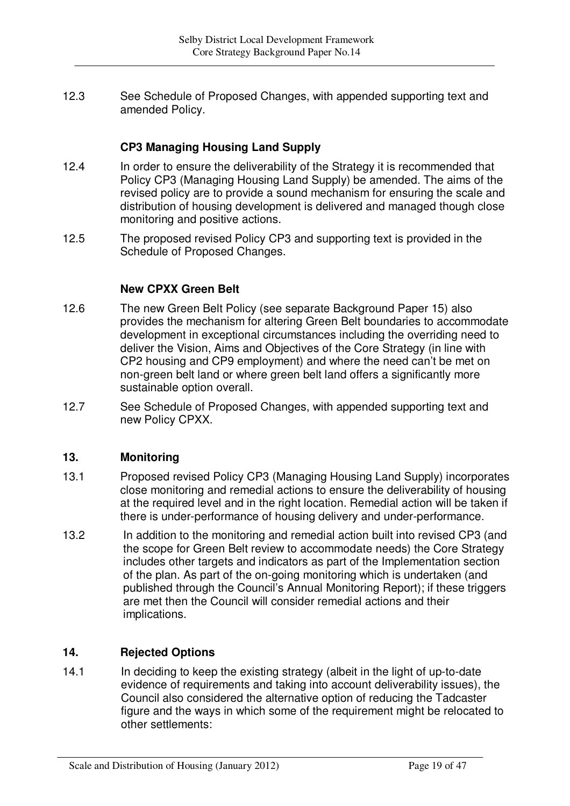12.3 See Schedule of Proposed Changes, with appended supporting text and amended Policy.

## **CP3 Managing Housing Land Supply**

- 12.4 In order to ensure the deliverability of the Strategy it is recommended that Policy CP3 (Managing Housing Land Supply) be amended. The aims of the revised policy are to provide a sound mechanism for ensuring the scale and distribution of housing development is delivered and managed though close monitoring and positive actions.
- 12.5 The proposed revised Policy CP3 and supporting text is provided in the Schedule of Proposed Changes.

### **New CPXX Green Belt**

- 12.6 The new Green Belt Policy (see separate Background Paper 15) also provides the mechanism for altering Green Belt boundaries to accommodate development in exceptional circumstances including the overriding need to deliver the Vision, Aims and Objectives of the Core Strategy (in line with CP2 housing and CP9 employment) and where the need can't be met on non-green belt land or where green belt land offers a significantly more sustainable option overall.
- 12.7 See Schedule of Proposed Changes, with appended supporting text and new Policy CPXX.

### **13. Monitoring**

- 13.1 Proposed revised Policy CP3 (Managing Housing Land Supply) incorporates close monitoring and remedial actions to ensure the deliverability of housing at the required level and in the right location. Remedial action will be taken if there is under-performance of housing delivery and under-performance.
- 13.2 In addition to the monitoring and remedial action built into revised CP3 (and the scope for Green Belt review to accommodate needs) the Core Strategy includes other targets and indicators as part of the Implementation section of the plan. As part of the on-going monitoring which is undertaken (and published through the Council's Annual Monitoring Report); if these triggers are met then the Council will consider remedial actions and their implications.

## **14. Rejected Options**

14.1 In deciding to keep the existing strategy (albeit in the light of up-to-date evidence of requirements and taking into account deliverability issues), the Council also considered the alternative option of reducing the Tadcaster figure and the ways in which some of the requirement might be relocated to other settlements: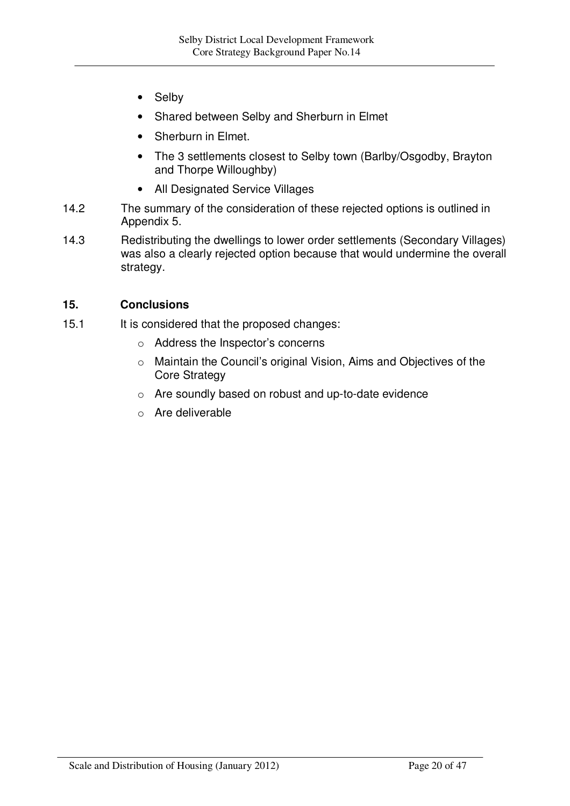- **Selby**
- Shared between Selby and Sherburn in Elmet
- Sherburn in Elmet.
- The 3 settlements closest to Selby town (Barlby/Osgodby, Brayton and Thorpe Willoughby)
- All Designated Service Villages
- 14.2 The summary of the consideration of these rejected options is outlined in Appendix 5.
- 14.3 Redistributing the dwellings to lower order settlements (Secondary Villages) was also a clearly rejected option because that would undermine the overall strategy.

### **15. Conclusions**

- 15.1 It is considered that the proposed changes:
	- o Address the Inspector's concerns
	- o Maintain the Council's original Vision, Aims and Objectives of the Core Strategy
	- o Are soundly based on robust and up-to-date evidence
	- o Are deliverable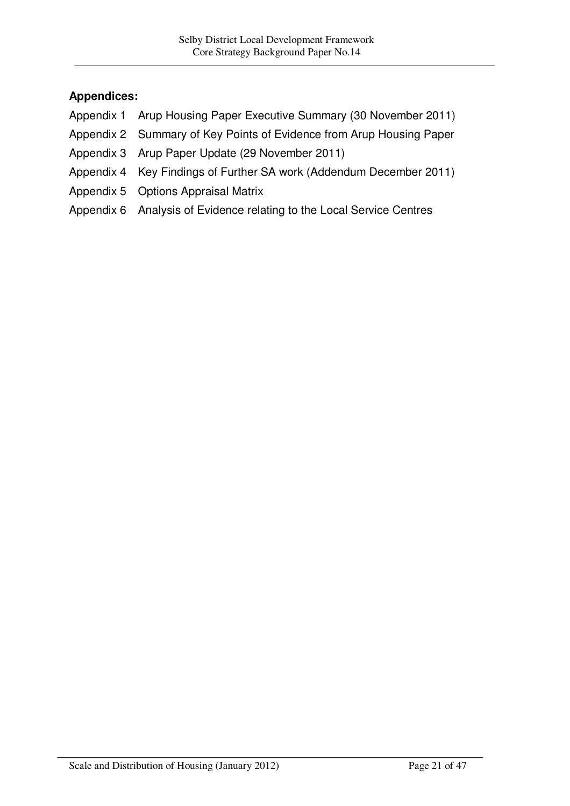# **Appendices:**

- Appendix 1 Arup Housing Paper Executive Summary (30 November 2011)
- Appendix 2 Summary of Key Points of Evidence from Arup Housing Paper
- Appendix 3 Arup Paper Update (29 November 2011)
- Appendix 4 Key Findings of Further SA work (Addendum December 2011)
- Appendix 5 Options Appraisal Matrix
- Appendix 6 Analysis of Evidence relating to the Local Service Centres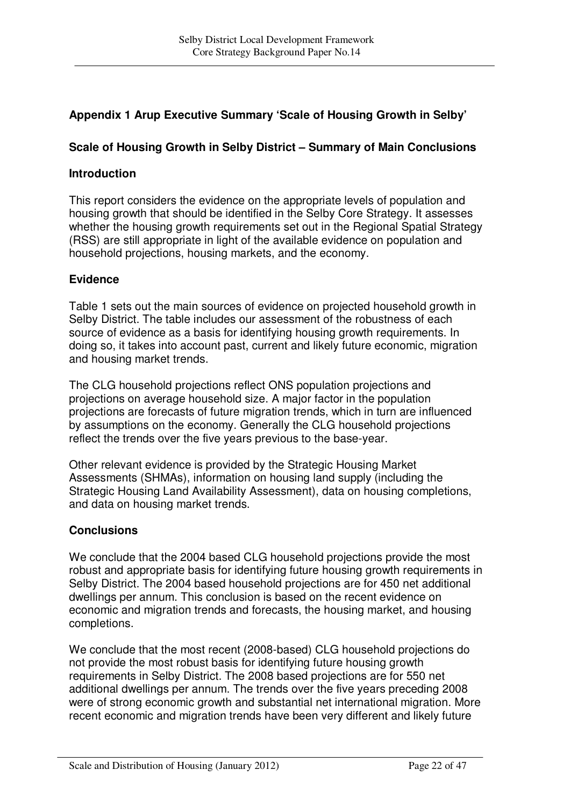# **Appendix 1 Arup Executive Summary 'Scale of Housing Growth in Selby'**

# **Scale of Housing Growth in Selby District – Summary of Main Conclusions**

## **Introduction**

This report considers the evidence on the appropriate levels of population and housing growth that should be identified in the Selby Core Strategy. It assesses whether the housing growth requirements set out in the Regional Spatial Strategy (RSS) are still appropriate in light of the available evidence on population and household projections, housing markets, and the economy.

# **Evidence**

Table 1 sets out the main sources of evidence on projected household growth in Selby District. The table includes our assessment of the robustness of each source of evidence as a basis for identifying housing growth requirements. In doing so, it takes into account past, current and likely future economic, migration and housing market trends.

The CLG household projections reflect ONS population projections and projections on average household size. A major factor in the population projections are forecasts of future migration trends, which in turn are influenced by assumptions on the economy. Generally the CLG household projections reflect the trends over the five years previous to the base-year.

Other relevant evidence is provided by the Strategic Housing Market Assessments (SHMAs), information on housing land supply (including the Strategic Housing Land Availability Assessment), data on housing completions, and data on housing market trends.

## **Conclusions**

We conclude that the 2004 based CLG household projections provide the most robust and appropriate basis for identifying future housing growth requirements in Selby District. The 2004 based household projections are for 450 net additional dwellings per annum. This conclusion is based on the recent evidence on economic and migration trends and forecasts, the housing market, and housing completions.

We conclude that the most recent (2008-based) CLG household projections do not provide the most robust basis for identifying future housing growth requirements in Selby District. The 2008 based projections are for 550 net additional dwellings per annum. The trends over the five years preceding 2008 were of strong economic growth and substantial net international migration. More recent economic and migration trends have been very different and likely future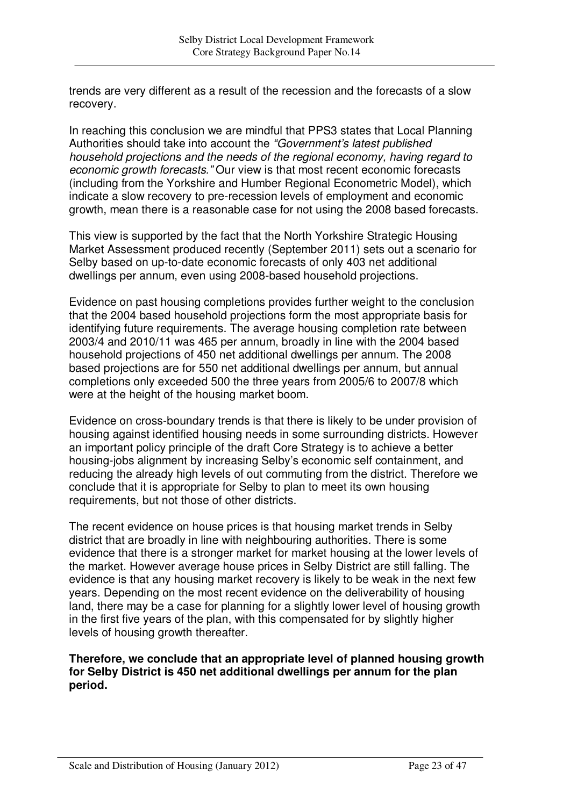trends are very different as a result of the recession and the forecasts of a slow recovery.

In reaching this conclusion we are mindful that PPS3 states that Local Planning Authorities should take into account the *"Government's latest published household projections and the needs of the regional economy, having regard to economic growth forecasts."* Our view is that most recent economic forecasts (including from the Yorkshire and Humber Regional Econometric Model), which indicate a slow recovery to pre-recession levels of employment and economic growth, mean there is a reasonable case for not using the 2008 based forecasts.

This view is supported by the fact that the North Yorkshire Strategic Housing Market Assessment produced recently (September 2011) sets out a scenario for Selby based on up-to-date economic forecasts of only 403 net additional dwellings per annum, even using 2008-based household projections.

Evidence on past housing completions provides further weight to the conclusion that the 2004 based household projections form the most appropriate basis for identifying future requirements. The average housing completion rate between 2003/4 and 2010/11 was 465 per annum, broadly in line with the 2004 based household projections of 450 net additional dwellings per annum. The 2008 based projections are for 550 net additional dwellings per annum, but annual completions only exceeded 500 the three years from 2005/6 to 2007/8 which were at the height of the housing market boom.

Evidence on cross-boundary trends is that there is likely to be under provision of housing against identified housing needs in some surrounding districts. However an important policy principle of the draft Core Strategy is to achieve a better housing-jobs alignment by increasing Selby's economic self containment, and reducing the already high levels of out commuting from the district. Therefore we conclude that it is appropriate for Selby to plan to meet its own housing requirements, but not those of other districts.

The recent evidence on house prices is that housing market trends in Selby district that are broadly in line with neighbouring authorities. There is some evidence that there is a stronger market for market housing at the lower levels of the market. However average house prices in Selby District are still falling. The evidence is that any housing market recovery is likely to be weak in the next few years. Depending on the most recent evidence on the deliverability of housing land, there may be a case for planning for a slightly lower level of housing growth in the first five years of the plan, with this compensated for by slightly higher levels of housing growth thereafter.

### **Therefore, we conclude that an appropriate level of planned housing growth for Selby District is 450 net additional dwellings per annum for the plan period.**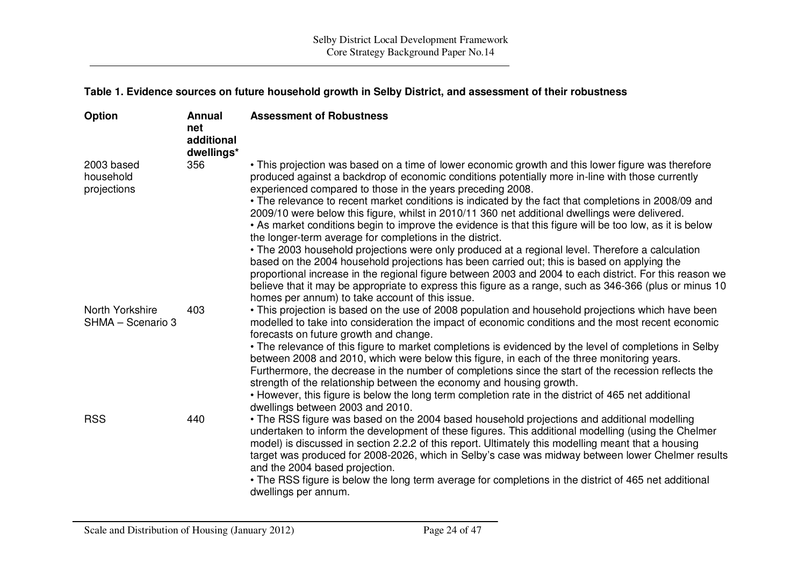#### **Table 1. Evidence sources on future household growth in Selby District, and assessment of their robustness**

| Option                                 | <b>Annual</b><br>net<br>additional<br>dwellings* | <b>Assessment of Robustness</b>                                                                                                                                                                                                                                                                                                                                                                                                                                                                                                                                                                                                                                                                                                                                                                                                                                                                                                                                                                                                                                                                                                    |
|----------------------------------------|--------------------------------------------------|------------------------------------------------------------------------------------------------------------------------------------------------------------------------------------------------------------------------------------------------------------------------------------------------------------------------------------------------------------------------------------------------------------------------------------------------------------------------------------------------------------------------------------------------------------------------------------------------------------------------------------------------------------------------------------------------------------------------------------------------------------------------------------------------------------------------------------------------------------------------------------------------------------------------------------------------------------------------------------------------------------------------------------------------------------------------------------------------------------------------------------|
| 2003 based<br>household<br>projections | 356                                              | • This projection was based on a time of lower economic growth and this lower figure was therefore<br>produced against a backdrop of economic conditions potentially more in-line with those currently<br>experienced compared to those in the years preceding 2008.<br>• The relevance to recent market conditions is indicated by the fact that completions in 2008/09 and<br>2009/10 were below this figure, whilst in 2010/11 360 net additional dwellings were delivered.<br>• As market conditions begin to improve the evidence is that this figure will be too low, as it is below<br>the longer-term average for completions in the district.<br>• The 2003 household projections were only produced at a regional level. Therefore a calculation<br>based on the 2004 household projections has been carried out; this is based on applying the<br>proportional increase in the regional figure between 2003 and 2004 to each district. For this reason we<br>believe that it may be appropriate to express this figure as a range, such as 346-366 (plus or minus 10<br>homes per annum) to take account of this issue. |
| North Yorkshire<br>SHMA - Scenario 3   | 403                                              | • This projection is based on the use of 2008 population and household projections which have been<br>modelled to take into consideration the impact of economic conditions and the most recent economic<br>forecasts on future growth and change.<br>• The relevance of this figure to market completions is evidenced by the level of completions in Selby<br>between 2008 and 2010, which were below this figure, in each of the three monitoring years.<br>Furthermore, the decrease in the number of completions since the start of the recession reflects the<br>strength of the relationship between the economy and housing growth.<br>• However, this figure is below the long term completion rate in the district of 465 net additional<br>dwellings between 2003 and 2010.                                                                                                                                                                                                                                                                                                                                             |
| <b>RSS</b>                             | 440                                              | • The RSS figure was based on the 2004 based household projections and additional modelling<br>undertaken to inform the development of these figures. This additional modelling (using the Chelmer<br>model) is discussed in section 2.2.2 of this report. Ultimately this modelling meant that a housing<br>target was produced for 2008-2026, which in Selby's case was midway between lower Chelmer results<br>and the 2004 based projection.<br>• The RSS figure is below the long term average for completions in the district of 465 net additional<br>dwellings per annum.                                                                                                                                                                                                                                                                                                                                                                                                                                                                                                                                                  |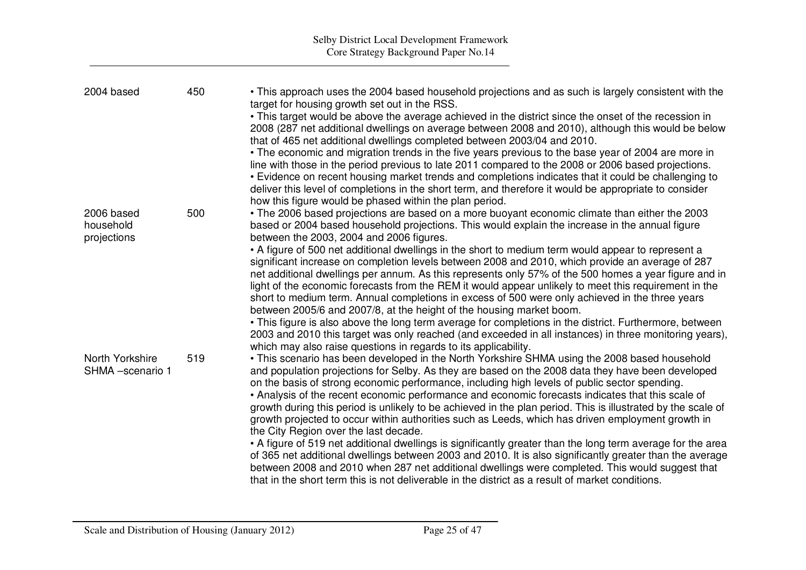| 2004 based                             | 450 | • This approach uses the 2004 based household projections and as such is largely consistent with the<br>target for housing growth set out in the RSS.                                                                                                                                                                                                                                                                                                                                                                                                                                                                                                                                                                                     |
|----------------------------------------|-----|-------------------------------------------------------------------------------------------------------------------------------------------------------------------------------------------------------------------------------------------------------------------------------------------------------------------------------------------------------------------------------------------------------------------------------------------------------------------------------------------------------------------------------------------------------------------------------------------------------------------------------------------------------------------------------------------------------------------------------------------|
|                                        |     | • This target would be above the average achieved in the district since the onset of the recession in<br>2008 (287 net additional dwellings on average between 2008 and 2010), although this would be below<br>that of 465 net additional dwellings completed between 2003/04 and 2010.                                                                                                                                                                                                                                                                                                                                                                                                                                                   |
|                                        |     | • The economic and migration trends in the five years previous to the base year of 2004 are more in<br>line with those in the period previous to late 2011 compared to the 2008 or 2006 based projections.<br>• Evidence on recent housing market trends and completions indicates that it could be challenging to                                                                                                                                                                                                                                                                                                                                                                                                                        |
|                                        |     | deliver this level of completions in the short term, and therefore it would be appropriate to consider<br>how this figure would be phased within the plan period.                                                                                                                                                                                                                                                                                                                                                                                                                                                                                                                                                                         |
| 2006 based<br>household<br>projections | 500 | • The 2006 based projections are based on a more buoyant economic climate than either the 2003<br>based or 2004 based household projections. This would explain the increase in the annual figure<br>between the 2003, 2004 and 2006 figures.                                                                                                                                                                                                                                                                                                                                                                                                                                                                                             |
|                                        |     | • A figure of 500 net additional dwellings in the short to medium term would appear to represent a<br>significant increase on completion levels between 2008 and 2010, which provide an average of 287<br>net additional dwellings per annum. As this represents only 57% of the 500 homes a year figure and in<br>light of the economic forecasts from the REM it would appear unlikely to meet this requirement in the<br>short to medium term. Annual completions in excess of 500 were only achieved in the three years<br>between 2005/6 and 2007/8, at the height of the housing market boom.                                                                                                                                       |
|                                        |     | • This figure is also above the long term average for completions in the district. Furthermore, between<br>2003 and 2010 this target was only reached (and exceeded in all instances) in three monitoring years),                                                                                                                                                                                                                                                                                                                                                                                                                                                                                                                         |
| North Yorkshire<br>SHMA -scenario 1    | 519 | which may also raise questions in regards to its applicability.<br>• This scenario has been developed in the North Yorkshire SHMA using the 2008 based household<br>and population projections for Selby. As they are based on the 2008 data they have been developed<br>on the basis of strong economic performance, including high levels of public sector spending.<br>• Analysis of the recent economic performance and economic forecasts indicates that this scale of<br>growth during this period is unlikely to be achieved in the plan period. This is illustrated by the scale of<br>growth projected to occur within authorities such as Leeds, which has driven employment growth in<br>the City Region over the last decade. |
|                                        |     | • A figure of 519 net additional dwellings is significantly greater than the long term average for the area<br>of 365 net additional dwellings between 2003 and 2010. It is also significantly greater than the average<br>between 2008 and 2010 when 287 net additional dwellings were completed. This would suggest that<br>that in the short term this is not deliverable in the district as a result of market conditions.                                                                                                                                                                                                                                                                                                            |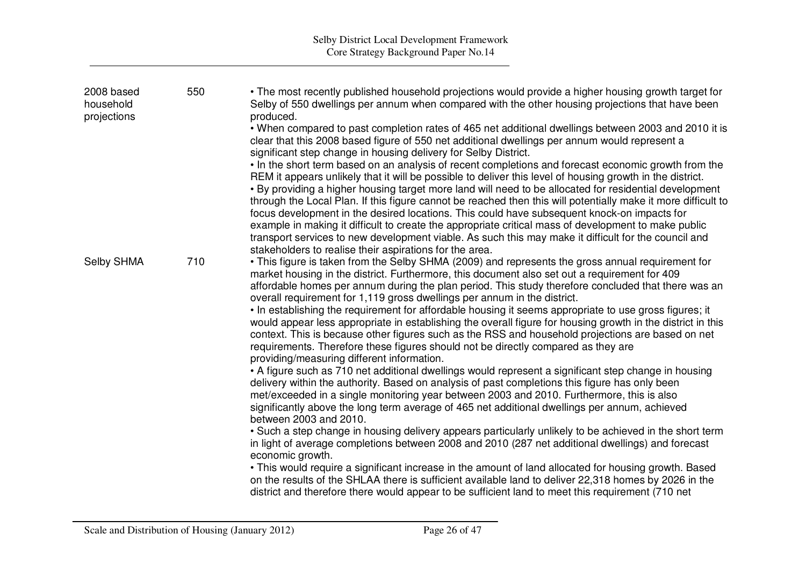| 2008 based<br>household<br>projections | 550 | • The most recently published household projections would provide a higher housing growth target for<br>Selby of 550 dwellings per annum when compared with the other housing projections that have been<br>produced.<br>. When compared to past completion rates of 465 net additional dwellings between 2003 and 2010 it is<br>clear that this 2008 based figure of 550 net additional dwellings per annum would represent a<br>significant step change in housing delivery for Selby District.                                                                                                                                                                                                                                                                                                                      |
|----------------------------------------|-----|------------------------------------------------------------------------------------------------------------------------------------------------------------------------------------------------------------------------------------------------------------------------------------------------------------------------------------------------------------------------------------------------------------------------------------------------------------------------------------------------------------------------------------------------------------------------------------------------------------------------------------------------------------------------------------------------------------------------------------------------------------------------------------------------------------------------|
|                                        |     | • In the short term based on an analysis of recent completions and forecast economic growth from the<br>REM it appears unlikely that it will be possible to deliver this level of housing growth in the district.<br>. By providing a higher housing target more land will need to be allocated for residential development<br>through the Local Plan. If this figure cannot be reached then this will potentially make it more difficult to<br>focus development in the desired locations. This could have subsequent knock-on impacts for<br>example in making it difficult to create the appropriate critical mass of development to make public<br>transport services to new development viable. As such this may make it difficult for the council and<br>stakeholders to realise their aspirations for the area. |
| Selby SHMA                             | 710 | • This figure is taken from the Selby SHMA (2009) and represents the gross annual requirement for<br>market housing in the district. Furthermore, this document also set out a requirement for 409<br>affordable homes per annum during the plan period. This study therefore concluded that there was an<br>overall requirement for 1,119 gross dwellings per annum in the district.<br>• In establishing the requirement for affordable housing it seems appropriate to use gross figures; it                                                                                                                                                                                                                                                                                                                        |
|                                        |     | would appear less appropriate in establishing the overall figure for housing growth in the district in this<br>context. This is because other figures such as the RSS and household projections are based on net<br>requirements. Therefore these figures should not be directly compared as they are<br>providing/measuring different information.                                                                                                                                                                                                                                                                                                                                                                                                                                                                    |
|                                        |     | • A figure such as 710 net additional dwellings would represent a significant step change in housing<br>delivery within the authority. Based on analysis of past completions this figure has only been<br>met/exceeded in a single monitoring year between 2003 and 2010. Furthermore, this is also<br>significantly above the long term average of 465 net additional dwellings per annum, achieved<br>between 2003 and 2010.                                                                                                                                                                                                                                                                                                                                                                                         |
|                                        |     | . Such a step change in housing delivery appears particularly unlikely to be achieved in the short term<br>in light of average completions between 2008 and 2010 (287 net additional dwellings) and forecast<br>economic growth.                                                                                                                                                                                                                                                                                                                                                                                                                                                                                                                                                                                       |
|                                        |     | • This would require a significant increase in the amount of land allocated for housing growth. Based<br>on the results of the SHLAA there is sufficient available land to deliver 22,318 homes by 2026 in the<br>district and therefore there would appear to be sufficient land to meet this requirement (710 net                                                                                                                                                                                                                                                                                                                                                                                                                                                                                                    |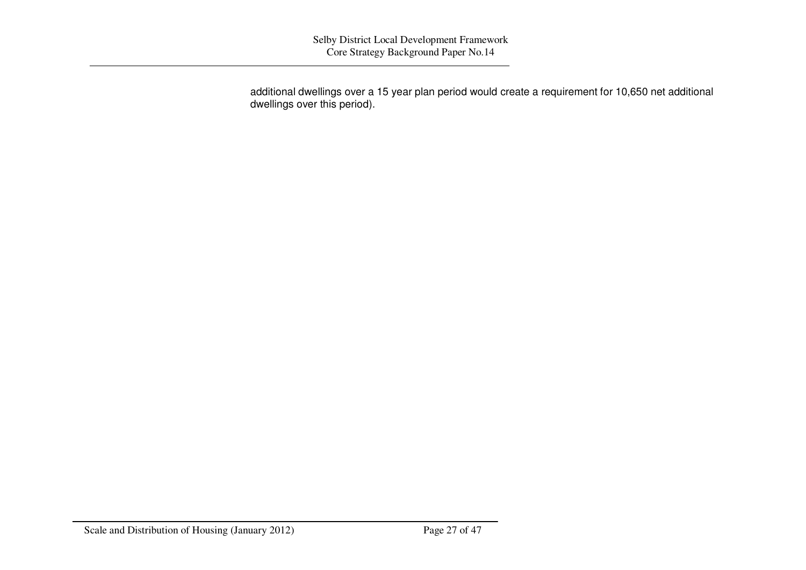additional dwellings over <sup>a</sup> 15 year plan period would create <sup>a</sup> requirement for 10,650 net additional dwellings over this period).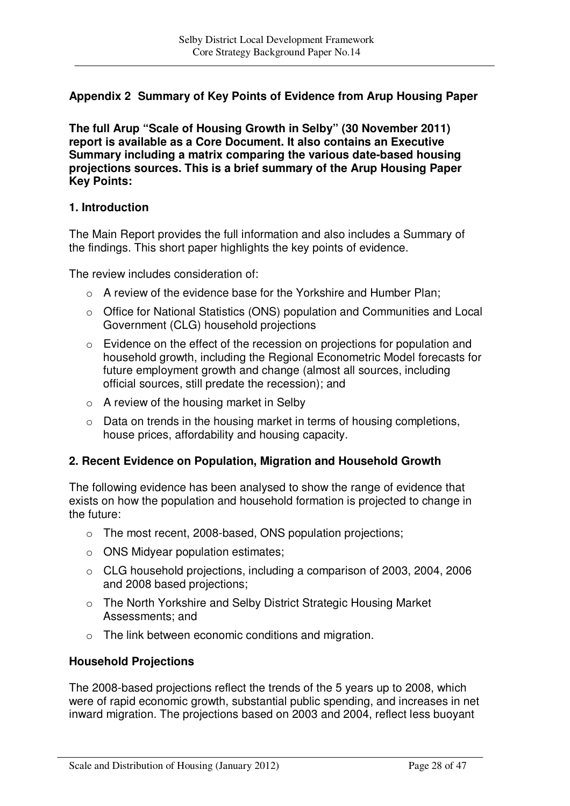# **Appendix 2 Summary of Key Points of Evidence from Arup Housing Paper**

**The full Arup "Scale of Housing Growth in Selby" (30 November 2011) report is available as a Core Document. It also contains an Executive Summary including a matrix comparing the various date-based housing projections sources. This is a brief summary of the Arup Housing Paper Key Points:**

### **1. Introduction**

The Main Report provides the full information and also includes a Summary of the findings. This short paper highlights the key points of evidence.

The review includes consideration of:

- o A review of the evidence base for the Yorkshire and Humber Plan;
- o Office for National Statistics (ONS) population and Communities and Local Government (CLG) household projections
- o Evidence on the effect of the recession on projections for population and household growth, including the Regional Econometric Model forecasts for future employment growth and change (almost all sources, including official sources, still predate the recession); and
- $\circ$  A review of the housing market in Selby
- o Data on trends in the housing market in terms of housing completions, house prices, affordability and housing capacity.

### **2. Recent Evidence on Population, Migration and Household Growth**

The following evidence has been analysed to show the range of evidence that exists on how the population and household formation is projected to change in the future:

- o The most recent, 2008-based, ONS population projections;
- $\circ$  ONS Midyear population estimates;
- o CLG household projections, including a comparison of 2003, 2004, 2006 and 2008 based projections;
- o The North Yorkshire and Selby District Strategic Housing Market Assessments; and
- o The link between economic conditions and migration.

### **Household Projections**

The 2008-based projections reflect the trends of the 5 years up to 2008, which were of rapid economic growth, substantial public spending, and increases in net inward migration. The projections based on 2003 and 2004, reflect less buoyant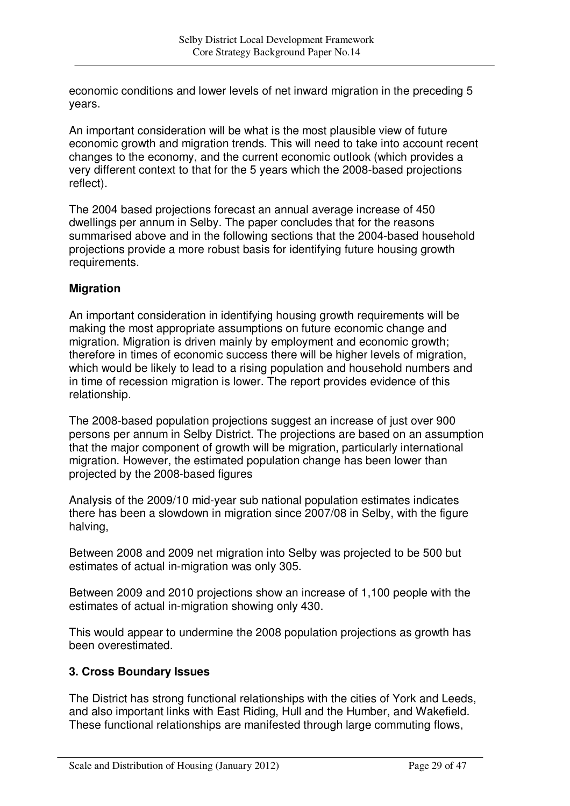economic conditions and lower levels of net inward migration in the preceding 5 years.

An important consideration will be what is the most plausible view of future economic growth and migration trends. This will need to take into account recent changes to the economy, and the current economic outlook (which provides a very different context to that for the 5 years which the 2008-based projections reflect).

The 2004 based projections forecast an annual average increase of 450 dwellings per annum in Selby. The paper concludes that for the reasons summarised above and in the following sections that the 2004-based household projections provide a more robust basis for identifying future housing growth requirements.

### **Migration**

An important consideration in identifying housing growth requirements will be making the most appropriate assumptions on future economic change and migration. Migration is driven mainly by employment and economic growth; therefore in times of economic success there will be higher levels of migration, which would be likely to lead to a rising population and household numbers and in time of recession migration is lower. The report provides evidence of this relationship.

The 2008-based population projections suggest an increase of just over 900 persons per annum in Selby District. The projections are based on an assumption that the major component of growth will be migration, particularly international migration. However, the estimated population change has been lower than projected by the 2008-based figures

Analysis of the 2009/10 mid-year sub national population estimates indicates there has been a slowdown in migration since 2007/08 in Selby, with the figure halving,

Between 2008 and 2009 net migration into Selby was projected to be 500 but estimates of actual in-migration was only 305.

Between 2009 and 2010 projections show an increase of 1,100 people with the estimates of actual in-migration showing only 430.

This would appear to undermine the 2008 population projections as growth has been overestimated.

## **3. Cross Boundary Issues**

The District has strong functional relationships with the cities of York and Leeds, and also important links with East Riding, Hull and the Humber, and Wakefield. These functional relationships are manifested through large commuting flows,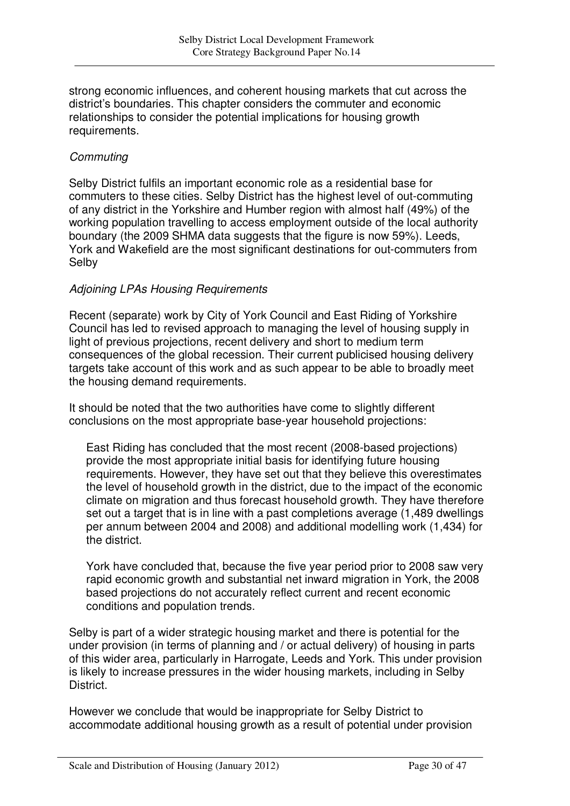strong economic influences, and coherent housing markets that cut across the district's boundaries. This chapter considers the commuter and economic relationships to consider the potential implications for housing growth requirements.

## *Commuting*

Selby District fulfils an important economic role as a residential base for commuters to these cities. Selby District has the highest level of out-commuting of any district in the Yorkshire and Humber region with almost half (49%) of the working population travelling to access employment outside of the local authority boundary (the 2009 SHMA data suggests that the figure is now 59%). Leeds, York and Wakefield are the most significant destinations for out-commuters from Selby

## *Adjoining LPAs Housing Requirements*

Recent (separate) work by City of York Council and East Riding of Yorkshire Council has led to revised approach to managing the level of housing supply in light of previous projections, recent delivery and short to medium term consequences of the global recession. Their current publicised housing delivery targets take account of this work and as such appear to be able to broadly meet the housing demand requirements.

It should be noted that the two authorities have come to slightly different conclusions on the most appropriate base-year household projections:

East Riding has concluded that the most recent (2008-based projections) provide the most appropriate initial basis for identifying future housing requirements. However, they have set out that they believe this overestimates the level of household growth in the district, due to the impact of the economic climate on migration and thus forecast household growth. They have therefore set out a target that is in line with a past completions average (1,489 dwellings per annum between 2004 and 2008) and additional modelling work (1,434) for the district.

York have concluded that, because the five year period prior to 2008 saw very rapid economic growth and substantial net inward migration in York, the 2008 based projections do not accurately reflect current and recent economic conditions and population trends.

Selby is part of a wider strategic housing market and there is potential for the under provision (in terms of planning and / or actual delivery) of housing in parts of this wider area, particularly in Harrogate, Leeds and York. This under provision is likely to increase pressures in the wider housing markets, including in Selby District.

However we conclude that would be inappropriate for Selby District to accommodate additional housing growth as a result of potential under provision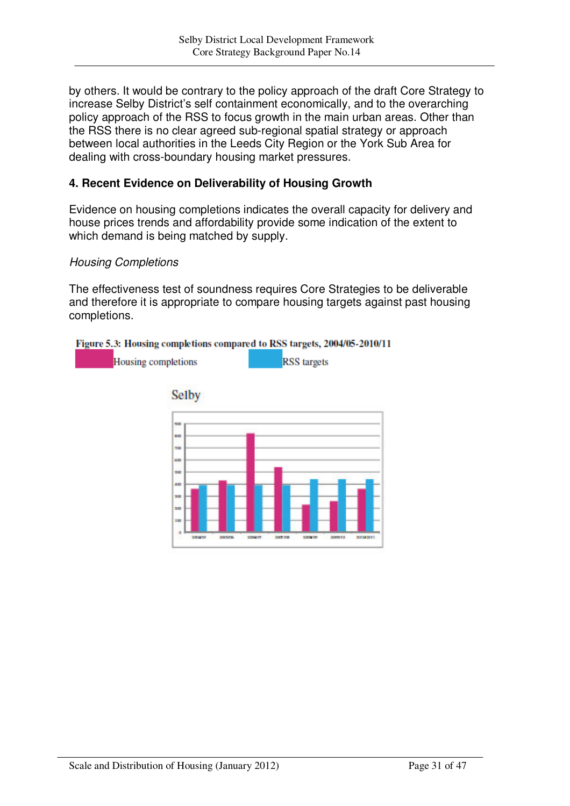by others. It would be contrary to the policy approach of the draft Core Strategy to increase Selby District's self containment economically, and to the overarching policy approach of the RSS to focus growth in the main urban areas. Other than the RSS there is no clear agreed sub-regional spatial strategy or approach between local authorities in the Leeds City Region or the York Sub Area for dealing with cross-boundary housing market pressures.

### **4. Recent Evidence on Deliverability of Housing Growth**

Evidence on housing completions indicates the overall capacity for delivery and house prices trends and affordability provide some indication of the extent to which demand is being matched by supply.

### *Housing Completions*

The effectiveness test of soundness requires Core Strategies to be deliverable and therefore it is appropriate to compare housing targets against past housing completions.

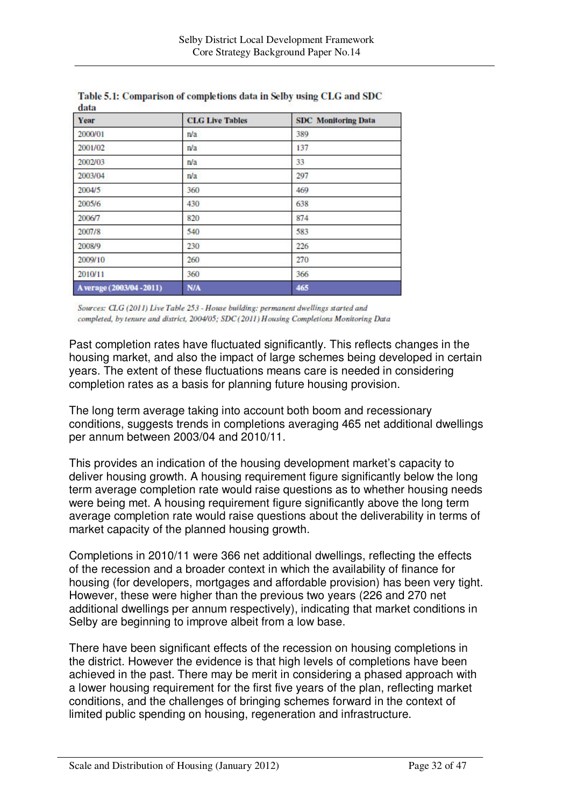| Year                      | <b>CLG Live Tables</b> | <b>SDC</b> Monitoring Data |
|---------------------------|------------------------|----------------------------|
| 2000/01                   | n/a                    | 389                        |
| 2001/02                   | n/a                    | 137                        |
| 2002/03                   | n/a                    | 33                         |
| 2003/04                   | n/a                    | 297                        |
| 2004/5                    | 360                    | 469                        |
| 2005/6                    | 430                    | 638                        |
| 2006/7                    | 820                    | 874                        |
| 2007/8                    | 540                    | 583                        |
| 2008/9                    | 230                    | 226                        |
| 2009/10                   | 260                    | 270                        |
| 2010/11                   | 360                    | 366                        |
| A verage (2003/04 - 2011) | N/A                    | 465                        |

Table 5.1: Comparison of completions data in Selby using CLG and SDC  $A<sub>m</sub>$ 

Sources: CLG (2011) Live Table 253 - House building: permanent dwellings started and completed, by tenure and district, 2004/05; SDC(2011) Housing Completions Monitoring Data

Past completion rates have fluctuated significantly. This reflects changes in the housing market, and also the impact of large schemes being developed in certain years. The extent of these fluctuations means care is needed in considering completion rates as a basis for planning future housing provision.

The long term average taking into account both boom and recessionary conditions, suggests trends in completions averaging 465 net additional dwellings per annum between 2003/04 and 2010/11.

This provides an indication of the housing development market's capacity to deliver housing growth. A housing requirement figure significantly below the long term average completion rate would raise questions as to whether housing needs were being met. A housing requirement figure significantly above the long term average completion rate would raise questions about the deliverability in terms of market capacity of the planned housing growth.

Completions in 2010/11 were 366 net additional dwellings, reflecting the effects of the recession and a broader context in which the availability of finance for housing (for developers, mortgages and affordable provision) has been very tight. However, these were higher than the previous two years (226 and 270 net additional dwellings per annum respectively), indicating that market conditions in Selby are beginning to improve albeit from a low base.

There have been significant effects of the recession on housing completions in the district. However the evidence is that high levels of completions have been achieved in the past. There may be merit in considering a phased approach with a lower housing requirement for the first five years of the plan, reflecting market conditions, and the challenges of bringing schemes forward in the context of limited public spending on housing, regeneration and infrastructure.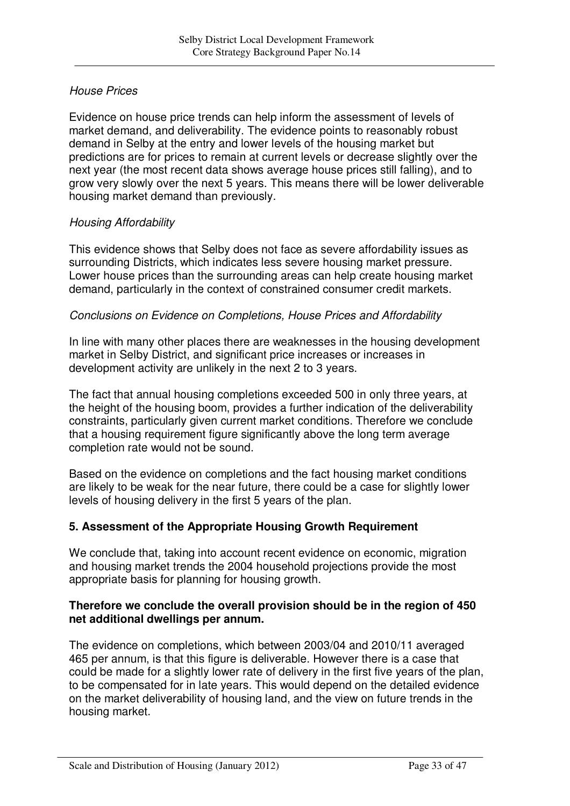## *House Prices*

Evidence on house price trends can help inform the assessment of levels of market demand, and deliverability. The evidence points to reasonably robust demand in Selby at the entry and lower levels of the housing market but predictions are for prices to remain at current levels or decrease slightly over the next year (the most recent data shows average house prices still falling), and to grow very slowly over the next 5 years. This means there will be lower deliverable housing market demand than previously.

### *Housing Affordability*

This evidence shows that Selby does not face as severe affordability issues as surrounding Districts, which indicates less severe housing market pressure. Lower house prices than the surrounding areas can help create housing market demand, particularly in the context of constrained consumer credit markets.

### *Conclusions on Evidence on Completions, House Prices and Affordability*

In line with many other places there are weaknesses in the housing development market in Selby District, and significant price increases or increases in development activity are unlikely in the next 2 to 3 years.

The fact that annual housing completions exceeded 500 in only three years, at the height of the housing boom, provides a further indication of the deliverability constraints, particularly given current market conditions. Therefore we conclude that a housing requirement figure significantly above the long term average completion rate would not be sound.

Based on the evidence on completions and the fact housing market conditions are likely to be weak for the near future, there could be a case for slightly lower levels of housing delivery in the first 5 years of the plan.

## **5. Assessment of the Appropriate Housing Growth Requirement**

We conclude that, taking into account recent evidence on economic, migration and housing market trends the 2004 household projections provide the most appropriate basis for planning for housing growth.

### **Therefore we conclude the overall provision should be in the region of 450 net additional dwellings per annum.**

The evidence on completions, which between 2003/04 and 2010/11 averaged 465 per annum, is that this figure is deliverable. However there is a case that could be made for a slightly lower rate of delivery in the first five years of the plan, to be compensated for in late years. This would depend on the detailed evidence on the market deliverability of housing land, and the view on future trends in the housing market.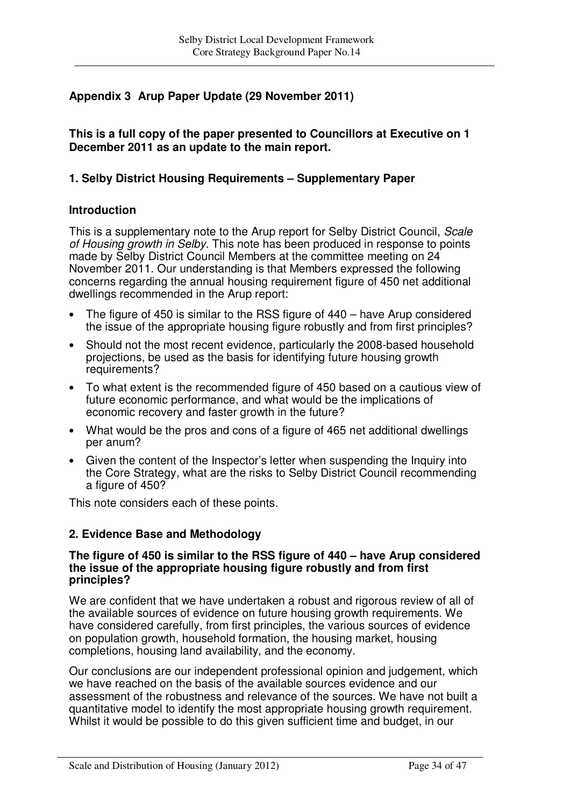# **Appendix 3 Arup Paper Update (29 November 2011)**

**This is a full copy of the paper presented to Councillors at Executive on 1 December 2011 as an update to the main report.**

## **1. Selby District Housing Requirements – Supplementary Paper**

### **Introduction**

This is a supplementary note to the Arup report for Selby District Council, *Scale of Housing growth in Selby*. This note has been produced in response to points made by Selby District Council Members at the committee meeting on 24 November 2011. Our understanding is that Members expressed the following concerns regarding the annual housing requirement figure of 450 net additional dwellings recommended in the Arup report:

- The figure of 450 is similar to the RSS figure of 440 have Arup considered the issue of the appropriate housing figure robustly and from first principles?
- Should not the most recent evidence, particularly the 2008-based household projections, be used as the basis for identifying future housing growth requirements?
- To what extent is the recommended figure of 450 based on a cautious view of future economic performance, and what would be the implications of economic recovery and faster growth in the future?
- What would be the pros and cons of a figure of 465 net additional dwellings per anum?
- Given the content of the Inspector's letter when suspending the Inquiry into the Core Strategy, what are the risks to Selby District Council recommending a figure of 450?

This note considers each of these points.

### **2. Evidence Base and Methodology**

#### **The figure of 450 is similar to the RSS figure of 440 – have Arup considered the issue of the appropriate housing figure robustly and from first principles?**

We are confident that we have undertaken a robust and rigorous review of all of the available sources of evidence on future housing growth requirements. We have considered carefully, from first principles, the various sources of evidence on population growth, household formation, the housing market, housing completions, housing land availability, and the economy.

Our conclusions are our independent professional opinion and judgement, which we have reached on the basis of the available sources evidence and our assessment of the robustness and relevance of the sources. We have not built a quantitative model to identify the most appropriate housing growth requirement. Whilst it would be possible to do this given sufficient time and budget, in our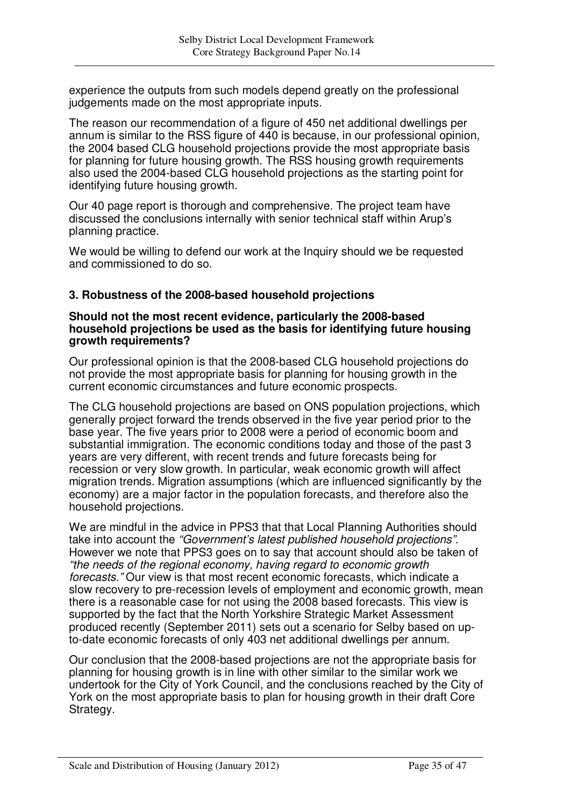experience the outputs from such models depend greatly on the professional judgements made on the most appropriate inputs.

The reason our recommendation of a figure of 450 net additional dwellings per annum is similar to the RSS figure of 440 is because, in our professional opinion, the 2004 based CLG household projections provide the most appropriate basis for planning for future housing growth. The RSS housing growth requirements also used the 2004-based CLG household projections as the starting point for identifying future housing growth.

Our 40 page report is thorough and comprehensive. The project team have discussed the conclusions internally with senior technical staff within Arup's planning practice.

We would be willing to defend our work at the Inquiry should we be requested and commissioned to do so.

### **3. Robustness of the 2008-based household projections**

#### **Should not the most recent evidence, particularly the 2008-based household projections be used as the basis for identifying future housing growth requirements?**

Our professional opinion is that the 2008-based CLG household projections do not provide the most appropriate basis for planning for housing growth in the current economic circumstances and future economic prospects.

The CLG household projections are based on ONS population projections, which generally project forward the trends observed in the five year period prior to the base year. The five years prior to 2008 were a period of economic boom and substantial immigration. The economic conditions today and those of the past 3 years are very different, with recent trends and future forecasts being for recession or very slow growth. In particular, weak economic growth will affect migration trends. Migration assumptions (which are influenced significantly by the economy) are a major factor in the population forecasts, and therefore also the household projections.

We are mindful in the advice in PPS3 that that Local Planning Authorities should take into account the *"Government's latest published household projections".* However we note that PPS3 goes on to say that account should also be taken of *"the needs of the regional economy, having regard to economic growth forecasts."* Our view is that most recent economic forecasts, which indicate a slow recovery to pre-recession levels of employment and economic growth, mean there is a reasonable case for not using the 2008 based forecasts. This view is supported by the fact that the North Yorkshire Strategic Market Assessment produced recently (September 2011) sets out a scenario for Selby based on upto-date economic forecasts of only 403 net additional dwellings per annum.

Our conclusion that the 2008-based projections are not the appropriate basis for planning for housing growth is in line with other similar to the similar work we undertook for the City of York Council, and the conclusions reached by the City of York on the most appropriate basis to plan for housing growth in their draft Core Strategy.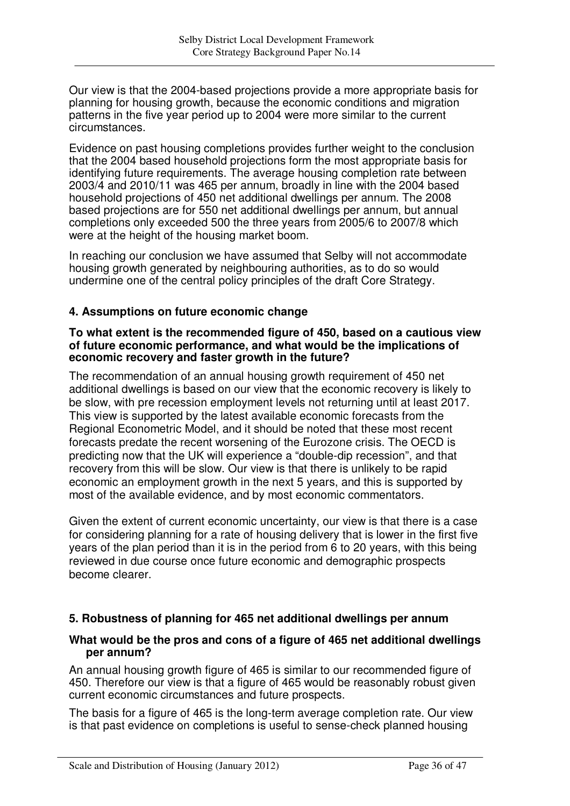Our view is that the 2004-based projections provide a more appropriate basis for planning for housing growth, because the economic conditions and migration patterns in the five year period up to 2004 were more similar to the current circumstances.

Evidence on past housing completions provides further weight to the conclusion that the 2004 based household projections form the most appropriate basis for identifying future requirements. The average housing completion rate between 2003/4 and 2010/11 was 465 per annum, broadly in line with the 2004 based household projections of 450 net additional dwellings per annum. The 2008 based projections are for 550 net additional dwellings per annum, but annual completions only exceeded 500 the three years from 2005/6 to 2007/8 which were at the height of the housing market boom.

In reaching our conclusion we have assumed that Selby will not accommodate housing growth generated by neighbouring authorities, as to do so would undermine one of the central policy principles of the draft Core Strategy.

### **4. Assumptions on future economic change**

#### **To what extent is the recommended figure of 450, based on a cautious view of future economic performance, and what would be the implications of economic recovery and faster growth in the future?**

The recommendation of an annual housing growth requirement of 450 net additional dwellings is based on our view that the economic recovery is likely to be slow, with pre recession employment levels not returning until at least 2017. This view is supported by the latest available economic forecasts from the Regional Econometric Model, and it should be noted that these most recent forecasts predate the recent worsening of the Eurozone crisis. The OECD is predicting now that the UK will experience a "double-dip recession", and that recovery from this will be slow. Our view is that there is unlikely to be rapid economic an employment growth in the next 5 years, and this is supported by most of the available evidence, and by most economic commentators.

Given the extent of current economic uncertainty, our view is that there is a case for considering planning for a rate of housing delivery that is lower in the first five years of the plan period than it is in the period from 6 to 20 years, with this being reviewed in due course once future economic and demographic prospects become clearer.

### **5. Robustness of planning for 465 net additional dwellings per annum**

### **What would be the pros and cons of a figure of 465 net additional dwellings per annum?**

An annual housing growth figure of 465 is similar to our recommended figure of 450. Therefore our view is that a figure of 465 would be reasonably robust given current economic circumstances and future prospects.

The basis for a figure of 465 is the long-term average completion rate. Our view is that past evidence on completions is useful to sense-check planned housing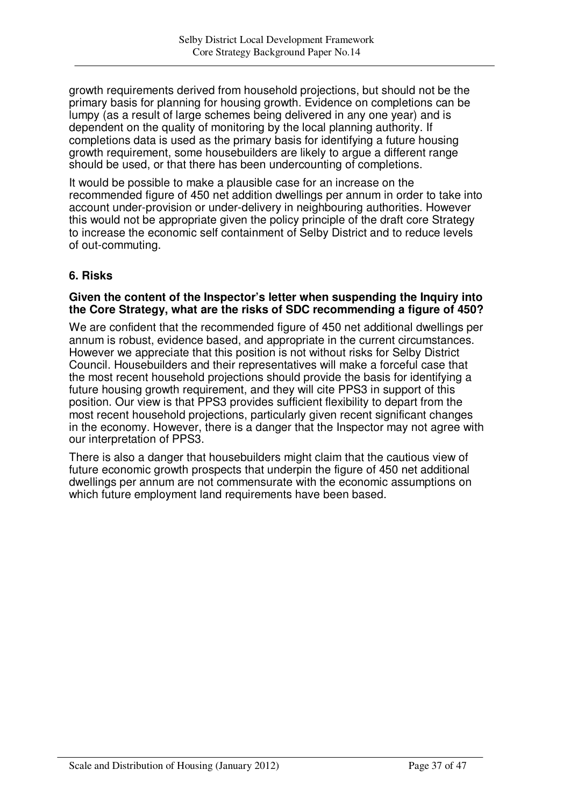growth requirements derived from household projections, but should not be the primary basis for planning for housing growth. Evidence on completions can be lumpy (as a result of large schemes being delivered in any one year) and is dependent on the quality of monitoring by the local planning authority. If completions data is used as the primary basis for identifying a future housing growth requirement, some housebuilders are likely to argue a different range should be used, or that there has been undercounting of completions.

It would be possible to make a plausible case for an increase on the recommended figure of 450 net addition dwellings per annum in order to take into account under-provision or under-delivery in neighbouring authorities. However this would not be appropriate given the policy principle of the draft core Strategy to increase the economic self containment of Selby District and to reduce levels of out-commuting.

### **6. Risks**

### **Given the content of the Inspector's letter when suspending the Inquiry into the Core Strategy, what are the risks of SDC recommending a figure of 450?**

We are confident that the recommended figure of 450 net additional dwellings per annum is robust, evidence based, and appropriate in the current circumstances. However we appreciate that this position is not without risks for Selby District Council. Housebuilders and their representatives will make a forceful case that the most recent household projections should provide the basis for identifying a future housing growth requirement, and they will cite PPS3 in support of this position. Our view is that PPS3 provides sufficient flexibility to depart from the most recent household projections, particularly given recent significant changes in the economy. However, there is a danger that the Inspector may not agree with our interpretation of PPS3.

There is also a danger that housebuilders might claim that the cautious view of future economic growth prospects that underpin the figure of 450 net additional dwellings per annum are not commensurate with the economic assumptions on which future employment land requirements have been based.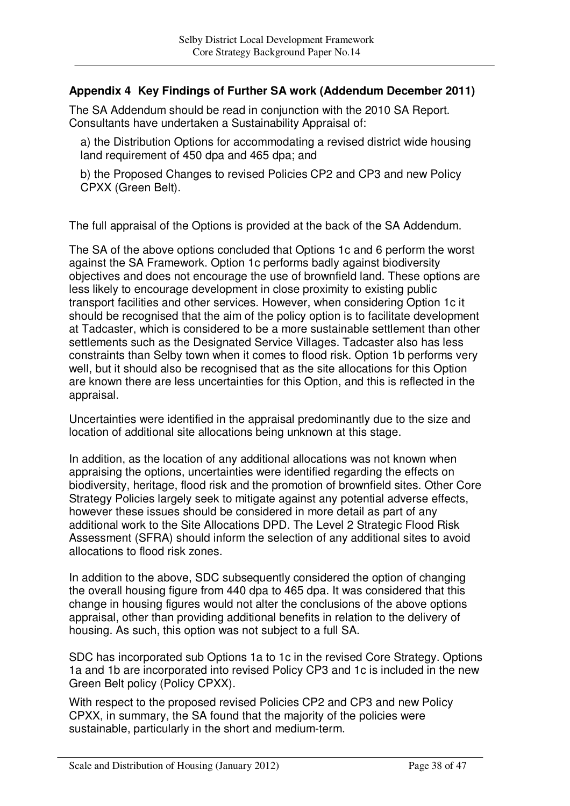### **Appendix 4 Key Findings of Further SA work (Addendum December 2011)**

The SA Addendum should be read in conjunction with the 2010 SA Report. Consultants have undertaken a Sustainability Appraisal of:

a) the Distribution Options for accommodating a revised district wide housing land requirement of 450 dpa and 465 dpa; and

b) the Proposed Changes to revised Policies CP2 and CP3 and new Policy CPXX (Green Belt).

The full appraisal of the Options is provided at the back of the SA Addendum.

The SA of the above options concluded that Options 1c and 6 perform the worst against the SA Framework. Option 1c performs badly against biodiversity objectives and does not encourage the use of brownfield land. These options are less likely to encourage development in close proximity to existing public transport facilities and other services. However, when considering Option 1c it should be recognised that the aim of the policy option is to facilitate development at Tadcaster, which is considered to be a more sustainable settlement than other settlements such as the Designated Service Villages. Tadcaster also has less constraints than Selby town when it comes to flood risk. Option 1b performs very well, but it should also be recognised that as the site allocations for this Option are known there are less uncertainties for this Option, and this is reflected in the appraisal.

Uncertainties were identified in the appraisal predominantly due to the size and location of additional site allocations being unknown at this stage.

In addition, as the location of any additional allocations was not known when appraising the options, uncertainties were identified regarding the effects on biodiversity, heritage, flood risk and the promotion of brownfield sites. Other Core Strategy Policies largely seek to mitigate against any potential adverse effects, however these issues should be considered in more detail as part of any additional work to the Site Allocations DPD. The Level 2 Strategic Flood Risk Assessment (SFRA) should inform the selection of any additional sites to avoid allocations to flood risk zones.

In addition to the above, SDC subsequently considered the option of changing the overall housing figure from 440 dpa to 465 dpa. It was considered that this change in housing figures would not alter the conclusions of the above options appraisal, other than providing additional benefits in relation to the delivery of housing. As such, this option was not subject to a full SA.

SDC has incorporated sub Options 1a to 1c in the revised Core Strategy. Options 1a and 1b are incorporated into revised Policy CP3 and 1c is included in the new Green Belt policy (Policy CPXX).

With respect to the proposed revised Policies CP2 and CP3 and new Policy CPXX, in summary, the SA found that the majority of the policies were sustainable, particularly in the short and medium-term.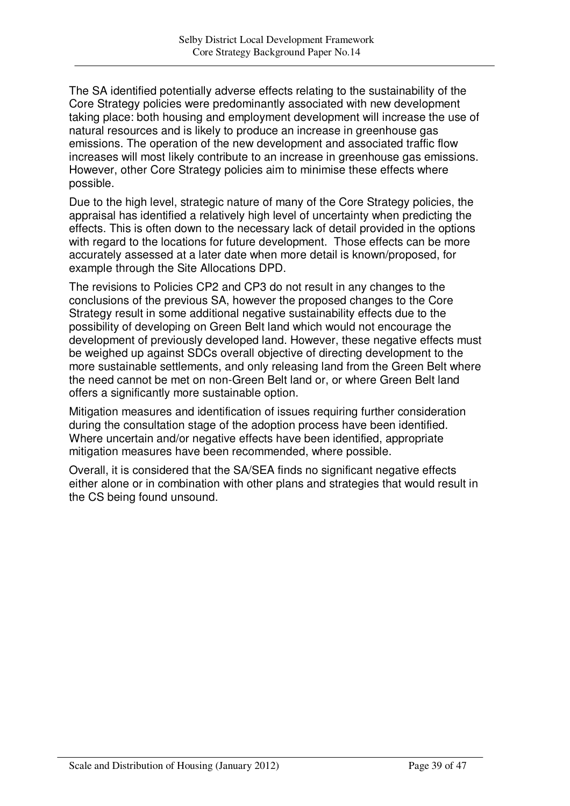The SA identified potentially adverse effects relating to the sustainability of the Core Strategy policies were predominantly associated with new development taking place: both housing and employment development will increase the use of natural resources and is likely to produce an increase in greenhouse gas emissions. The operation of the new development and associated traffic flow increases will most likely contribute to an increase in greenhouse gas emissions. However, other Core Strategy policies aim to minimise these effects where possible.

Due to the high level, strategic nature of many of the Core Strategy policies, the appraisal has identified a relatively high level of uncertainty when predicting the effects. This is often down to the necessary lack of detail provided in the options with regard to the locations for future development. Those effects can be more accurately assessed at a later date when more detail is known/proposed, for example through the Site Allocations DPD.

The revisions to Policies CP2 and CP3 do not result in any changes to the conclusions of the previous SA, however the proposed changes to the Core Strategy result in some additional negative sustainability effects due to the possibility of developing on Green Belt land which would not encourage the development of previously developed land. However, these negative effects must be weighed up against SDCs overall objective of directing development to the more sustainable settlements, and only releasing land from the Green Belt where the need cannot be met on non-Green Belt land or, or where Green Belt land offers a significantly more sustainable option.

Mitigation measures and identification of issues requiring further consideration during the consultation stage of the adoption process have been identified. Where uncertain and/or negative effects have been identified, appropriate mitigation measures have been recommended, where possible.

Overall, it is considered that the SA/SEA finds no significant negative effects either alone or in combination with other plans and strategies that would result in the CS being found unsound.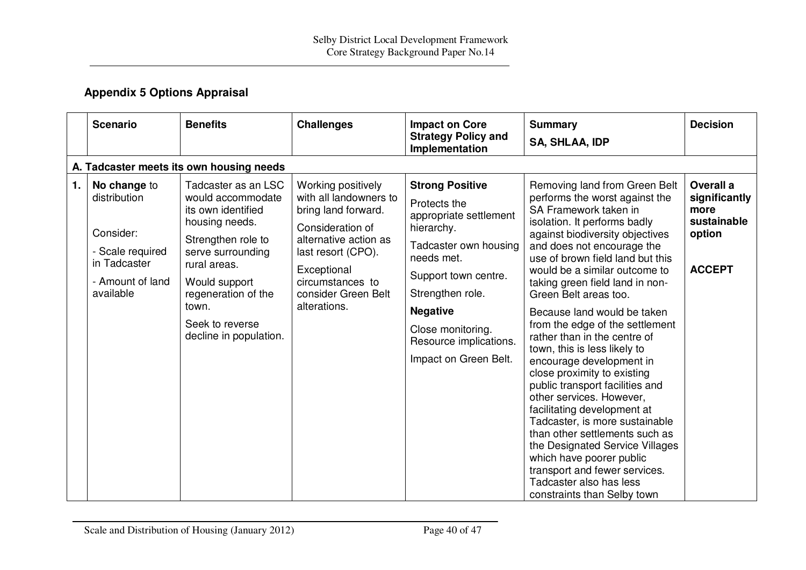# **Appendix 5 Options Appraisal**

|    | <b>Scenario</b>                                                                                                | <b>Benefits</b>                                                                                                                                                                                                                           |                                                                                                                                                                                                                  |                                                                                                                                                                                                                                                              |                                                                                                                                                                                                                                                                                                                                                                                                                                                                                                                                                                                                                                                                                                                                                                                                                                                     | <b>Decision</b>                                                              |  |  |  |
|----|----------------------------------------------------------------------------------------------------------------|-------------------------------------------------------------------------------------------------------------------------------------------------------------------------------------------------------------------------------------------|------------------------------------------------------------------------------------------------------------------------------------------------------------------------------------------------------------------|--------------------------------------------------------------------------------------------------------------------------------------------------------------------------------------------------------------------------------------------------------------|-----------------------------------------------------------------------------------------------------------------------------------------------------------------------------------------------------------------------------------------------------------------------------------------------------------------------------------------------------------------------------------------------------------------------------------------------------------------------------------------------------------------------------------------------------------------------------------------------------------------------------------------------------------------------------------------------------------------------------------------------------------------------------------------------------------------------------------------------------|------------------------------------------------------------------------------|--|--|--|
|    |                                                                                                                |                                                                                                                                                                                                                                           | <b>Challenges</b>                                                                                                                                                                                                | <b>Impact on Core</b><br><b>Strategy Policy and</b>                                                                                                                                                                                                          | <b>Summary</b>                                                                                                                                                                                                                                                                                                                                                                                                                                                                                                                                                                                                                                                                                                                                                                                                                                      |                                                                              |  |  |  |
|    |                                                                                                                |                                                                                                                                                                                                                                           |                                                                                                                                                                                                                  | Implementation                                                                                                                                                                                                                                               | <b>SA, SHLAA, IDP</b>                                                                                                                                                                                                                                                                                                                                                                                                                                                                                                                                                                                                                                                                                                                                                                                                                               |                                                                              |  |  |  |
|    | A. Tadcaster meets its own housing needs                                                                       |                                                                                                                                                                                                                                           |                                                                                                                                                                                                                  |                                                                                                                                                                                                                                                              |                                                                                                                                                                                                                                                                                                                                                                                                                                                                                                                                                                                                                                                                                                                                                                                                                                                     |                                                                              |  |  |  |
| 1. | No change to<br>distribution<br>Consider:<br>- Scale required<br>in Tadcaster<br>- Amount of land<br>available | Tadcaster as an LSC<br>would accommodate<br>its own identified<br>housing needs.<br>Strengthen role to<br>serve surrounding<br>rural areas.<br>Would support<br>regeneration of the<br>town.<br>Seek to reverse<br>decline in population. | Working positively<br>with all landowners to<br>bring land forward.<br>Consideration of<br>alternative action as<br>last resort (CPO).<br>Exceptional<br>circumstances to<br>consider Green Belt<br>alterations. | <b>Strong Positive</b><br>Protects the<br>appropriate settlement<br>hierarchy.<br>Tadcaster own housing<br>needs met.<br>Support town centre.<br>Strengthen role.<br><b>Negative</b><br>Close monitoring.<br>Resource implications.<br>Impact on Green Belt. | Removing land from Green Belt<br>performs the worst against the<br>SA Framework taken in<br>isolation. It performs badly<br>against biodiversity objectives<br>and does not encourage the<br>use of brown field land but this<br>would be a similar outcome to<br>taking green field land in non-<br>Green Belt areas too.<br>Because land would be taken<br>from the edge of the settlement<br>rather than in the centre of<br>town, this is less likely to<br>encourage development in<br>close proximity to existing<br>public transport facilities and<br>other services. However,<br>facilitating development at<br>Tadcaster, is more sustainable<br>than other settlements such as<br>the Designated Service Villages<br>which have poorer public<br>transport and fewer services.<br>Tadcaster also has less<br>constraints than Selby town | Overall a<br>significantly<br>more<br>sustainable<br>option<br><b>ACCEPT</b> |  |  |  |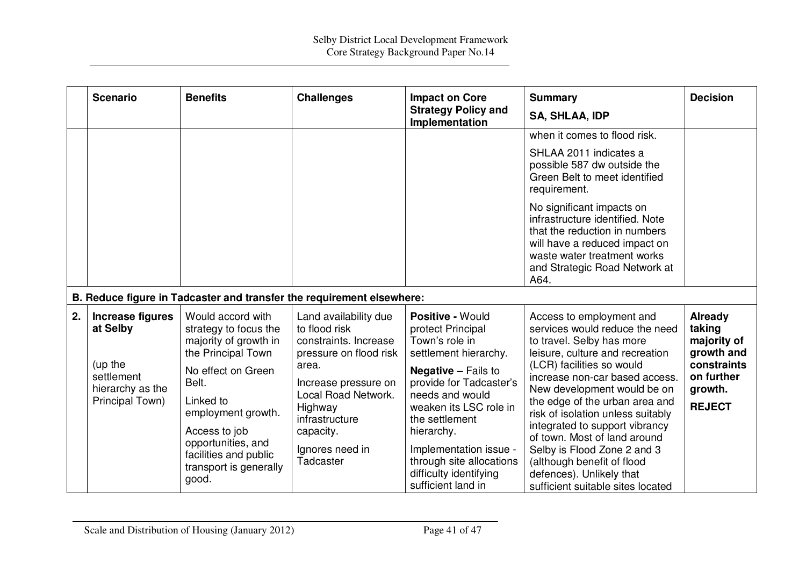|    | <b>Scenario</b>                                                                              | <b>Benefits</b>                                                                                                                                                                                                                                                | <b>Challenges</b>                                                                                                                                                                                                           | <b>Impact on Core</b><br><b>Strategy Policy and</b><br>Implementation                                                                                                                                                                                                                                                        | <b>Summary</b><br><b>SA, SHLAA, IDP</b>                                                                                                                                                                                                                                                                                                                                                                                                                                                         | <b>Decision</b>                                                                                         |
|----|----------------------------------------------------------------------------------------------|----------------------------------------------------------------------------------------------------------------------------------------------------------------------------------------------------------------------------------------------------------------|-----------------------------------------------------------------------------------------------------------------------------------------------------------------------------------------------------------------------------|------------------------------------------------------------------------------------------------------------------------------------------------------------------------------------------------------------------------------------------------------------------------------------------------------------------------------|-------------------------------------------------------------------------------------------------------------------------------------------------------------------------------------------------------------------------------------------------------------------------------------------------------------------------------------------------------------------------------------------------------------------------------------------------------------------------------------------------|---------------------------------------------------------------------------------------------------------|
|    |                                                                                              |                                                                                                                                                                                                                                                                |                                                                                                                                                                                                                             |                                                                                                                                                                                                                                                                                                                              | when it comes to flood risk.<br>SHLAA 2011 indicates a<br>possible 587 dw outside the<br>Green Belt to meet identified<br>requirement.<br>No significant impacts on<br>infrastructure identified. Note<br>that the reduction in numbers<br>will have a reduced impact on<br>waste water treatment works<br>and Strategic Road Network at<br>A64.                                                                                                                                                |                                                                                                         |
|    |                                                                                              |                                                                                                                                                                                                                                                                | B. Reduce figure in Tadcaster and transfer the requirement elsewhere:                                                                                                                                                       |                                                                                                                                                                                                                                                                                                                              |                                                                                                                                                                                                                                                                                                                                                                                                                                                                                                 |                                                                                                         |
| 2. | Increase figures<br>at Selby<br>(up the<br>settlement<br>hierarchy as the<br>Principal Town) | Would accord with<br>strategy to focus the<br>majority of growth in<br>the Principal Town<br>No effect on Green<br>Belt.<br>Linked to<br>employment growth.<br>Access to job<br>opportunities, and<br>facilities and public<br>transport is generally<br>good. | Land availability due<br>to flood risk<br>constraints. Increase<br>pressure on flood risk<br>area.<br>Increase pressure on<br>Local Road Network.<br>Highway<br>infrastructure<br>capacity.<br>Ignores need in<br>Tadcaster | Positive - Would<br>protect Principal<br>Town's role in<br>settlement hierarchy.<br><b>Negative - Fails to</b><br>provide for Tadcaster's<br>needs and would<br>weaken its LSC role in<br>the settlement<br>hierarchy.<br>Implementation issue -<br>through site allocations<br>difficulty identifying<br>sufficient land in | Access to employment and<br>services would reduce the need<br>to travel. Selby has more<br>leisure, culture and recreation<br>(LCR) facilities so would<br>increase non-car based access.<br>New development would be on<br>the edge of the urban area and<br>risk of isolation unless suitably<br>integrated to support vibrancy<br>of town. Most of land around<br>Selby is Flood Zone 2 and 3<br>(although benefit of flood<br>defences). Unlikely that<br>sufficient suitable sites located | Already<br>taking<br>majority of<br>growth and<br>constraints<br>on further<br>growth.<br><b>REJECT</b> |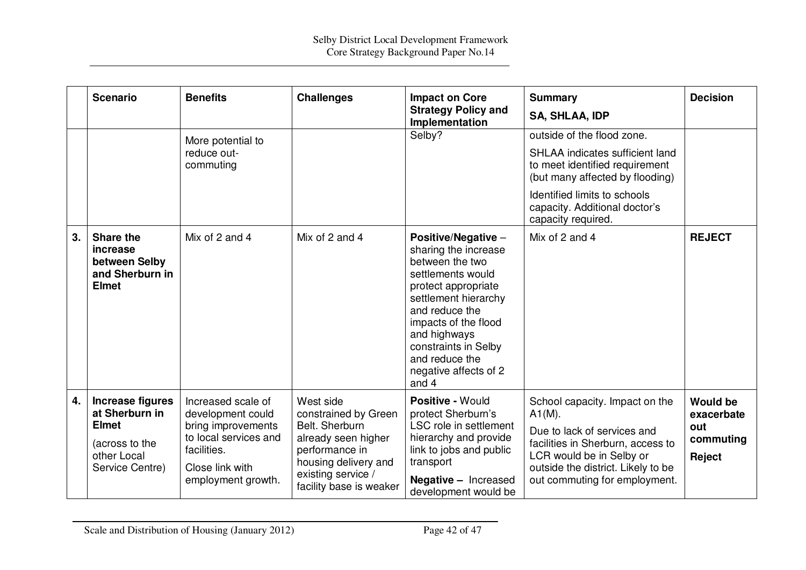|    | <b>Scenario</b>                                                                                        | <b>Benefits</b>                                                                                                                                | <b>Challenges</b>                                                                                                                                                     | <b>Impact on Core</b><br><b>Strategy Policy and</b><br>Implementation                                                                                                                                                                                                    | <b>Summary</b><br><b>SA, SHLAA, IDP</b>                                                                                                                                                                                          | <b>Decision</b>                                             |
|----|--------------------------------------------------------------------------------------------------------|------------------------------------------------------------------------------------------------------------------------------------------------|-----------------------------------------------------------------------------------------------------------------------------------------------------------------------|--------------------------------------------------------------------------------------------------------------------------------------------------------------------------------------------------------------------------------------------------------------------------|----------------------------------------------------------------------------------------------------------------------------------------------------------------------------------------------------------------------------------|-------------------------------------------------------------|
|    |                                                                                                        | More potential to<br>reduce out-<br>commuting                                                                                                  |                                                                                                                                                                       | Selby?                                                                                                                                                                                                                                                                   | outside of the flood zone.<br><b>SHLAA</b> indicates sufficient land<br>to meet identified requirement<br>(but many affected by flooding)<br>Identified limits to schools<br>capacity. Additional doctor's<br>capacity required. |                                                             |
| 3. | Share the<br>increase<br>between Selby<br>and Sherburn in<br><b>Elmet</b>                              | Mix of 2 and 4                                                                                                                                 | Mix of 2 and 4                                                                                                                                                        | Positive/Negative -<br>sharing the increase<br>between the two<br>settlements would<br>protect appropriate<br>settlement hierarchy<br>and reduce the<br>impacts of the flood<br>and highways<br>constraints in Selby<br>and reduce the<br>negative affects of 2<br>and 4 | Mix of 2 and 4                                                                                                                                                                                                                   | <b>REJECT</b>                                               |
| 4. | Increase figures<br>at Sherburn in<br><b>Elmet</b><br>(across to the<br>other Local<br>Service Centre) | Increased scale of<br>development could<br>bring improvements<br>to local services and<br>facilities.<br>Close link with<br>employment growth. | West side<br>constrained by Green<br>Belt. Sherburn<br>already seen higher<br>performance in<br>housing delivery and<br>existing service /<br>facility base is weaker | Positive - Would<br>protect Sherburn's<br>LSC role in settlement<br>hierarchy and provide<br>link to jobs and public<br>transport<br><b>Negative - Increased</b><br>development would be                                                                                 | School capacity. Impact on the<br>$A1(M)$ .<br>Due to lack of services and<br>facilities in Sherburn, access to<br>LCR would be in Selby or<br>outside the district. Likely to be<br>out commuting for employment.               | <b>Would be</b><br>exacerbate<br>out<br>commuting<br>Reject |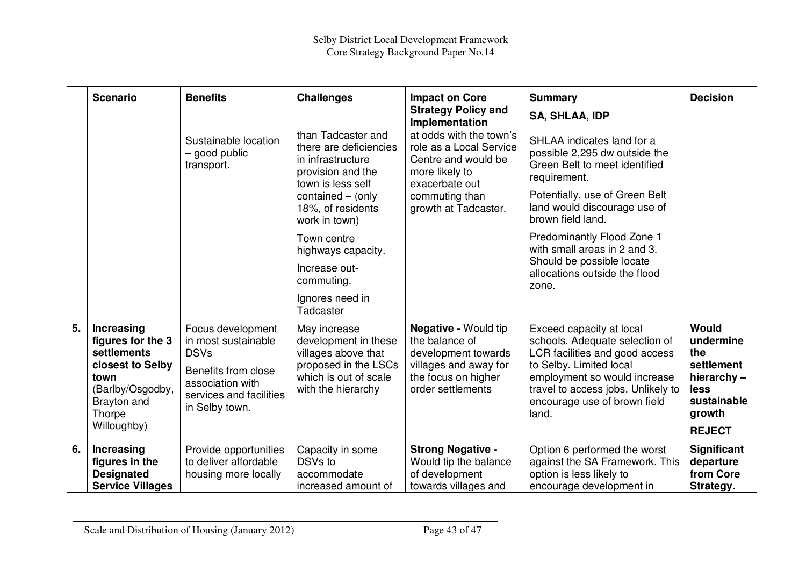|    | <b>Scenario</b>                                                                                                                        | <b>Benefits</b>                                                                                                                                 | <b>Challenges</b>                                                                                                                  | <b>Impact on Core</b><br><b>Strategy Policy and</b><br>Implementation                                                                     | <b>Summary</b><br><b>SA, SHLAA, IDP</b>                                                                                                                                                                                                | <b>Decision</b>                                                                        |
|----|----------------------------------------------------------------------------------------------------------------------------------------|-------------------------------------------------------------------------------------------------------------------------------------------------|------------------------------------------------------------------------------------------------------------------------------------|-------------------------------------------------------------------------------------------------------------------------------------------|----------------------------------------------------------------------------------------------------------------------------------------------------------------------------------------------------------------------------------------|----------------------------------------------------------------------------------------|
|    |                                                                                                                                        | Sustainable location<br>- good public<br>transport.                                                                                             | than Tadcaster and<br>there are deficiencies<br>in infrastructure<br>provision and the<br>town is less self                        | at odds with the town's<br>role as a Local Service<br>Centre and would be<br>more likely to<br>exacerbate out                             | SHLAA indicates land for a<br>possible 2,295 dw outside the<br>Green Belt to meet identified<br>requirement.                                                                                                                           |                                                                                        |
|    |                                                                                                                                        |                                                                                                                                                 | contained - (only<br>18%, of residents<br>work in town)                                                                            | commuting than<br>growth at Tadcaster.                                                                                                    | Potentially, use of Green Belt<br>land would discourage use of<br>brown field land.                                                                                                                                                    |                                                                                        |
|    |                                                                                                                                        |                                                                                                                                                 | Town centre<br>highways capacity.                                                                                                  |                                                                                                                                           | Predominantly Flood Zone 1<br>with small areas in 2 and 3.<br>Should be possible locate                                                                                                                                                |                                                                                        |
|    |                                                                                                                                        |                                                                                                                                                 | Increase out-<br>commuting.                                                                                                        |                                                                                                                                           | allocations outside the flood<br>zone.                                                                                                                                                                                                 |                                                                                        |
|    |                                                                                                                                        |                                                                                                                                                 | Ignores need in<br>Tadcaster                                                                                                       |                                                                                                                                           |                                                                                                                                                                                                                                        |                                                                                        |
| 5. | Increasing<br>figures for the 3<br>settlements<br>closest to Selby<br>town<br>(Barlby/Osgodby,<br>Brayton and<br>Thorpe<br>Willoughby) | Focus development<br>in most sustainable<br><b>DSVs</b><br>Benefits from close<br>association with<br>services and facilities<br>in Selby town. | May increase<br>development in these<br>villages above that<br>proposed in the LSCs<br>which is out of scale<br>with the hierarchy | <b>Negative - Would tip</b><br>the balance of<br>development towards<br>villages and away for<br>the focus on higher<br>order settlements | Exceed capacity at local<br>schools. Adequate selection of<br>LCR facilities and good access<br>to Selby. Limited local<br>employment so would increase<br>travel to access jobs. Unlikely to<br>encourage use of brown field<br>land. | Would<br>undermine<br>the<br>settlement<br>hierarchy-<br>less<br>sustainable<br>growth |
|    |                                                                                                                                        |                                                                                                                                                 |                                                                                                                                    |                                                                                                                                           |                                                                                                                                                                                                                                        | <b>REJECT</b>                                                                          |
| 6. | <b>Increasing</b><br>figures in the<br><b>Designated</b><br><b>Service Villages</b>                                                    | Provide opportunities<br>to deliver affordable<br>housing more locally                                                                          | Capacity in some<br>DSV <sub>s</sub> to<br>accommodate<br>increased amount of                                                      | <b>Strong Negative -</b><br>Would tip the balance<br>of development<br>towards villages and                                               | Option 6 performed the worst<br>against the SA Framework. This<br>option is less likely to<br>encourage development in                                                                                                                 | Significant<br>departure<br>from Core<br>Strategy.                                     |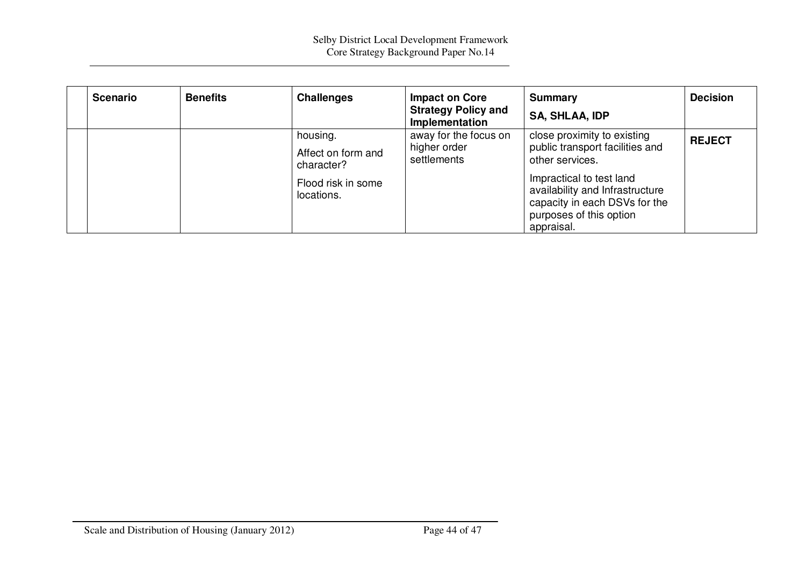| <b>Scenario</b> | <b>Benefits</b> | <b>Challenges</b>                                                                | <b>Impact on Core</b><br><b>Strategy Policy and</b><br>Implementation | <b>Summary</b><br><b>SA, SHLAA, IDP</b>                                                                                                                                                                                    | <b>Decision</b> |
|-----------------|-----------------|----------------------------------------------------------------------------------|-----------------------------------------------------------------------|----------------------------------------------------------------------------------------------------------------------------------------------------------------------------------------------------------------------------|-----------------|
|                 |                 | housing.<br>Affect on form and<br>character?<br>Flood risk in some<br>locations. | away for the focus on<br>higher order<br>settlements                  | close proximity to existing<br>public transport facilities and<br>other services.<br>Impractical to test land<br>availability and Infrastructure<br>capacity in each DSVs for the<br>purposes of this option<br>appraisal. | <b>REJECT</b>   |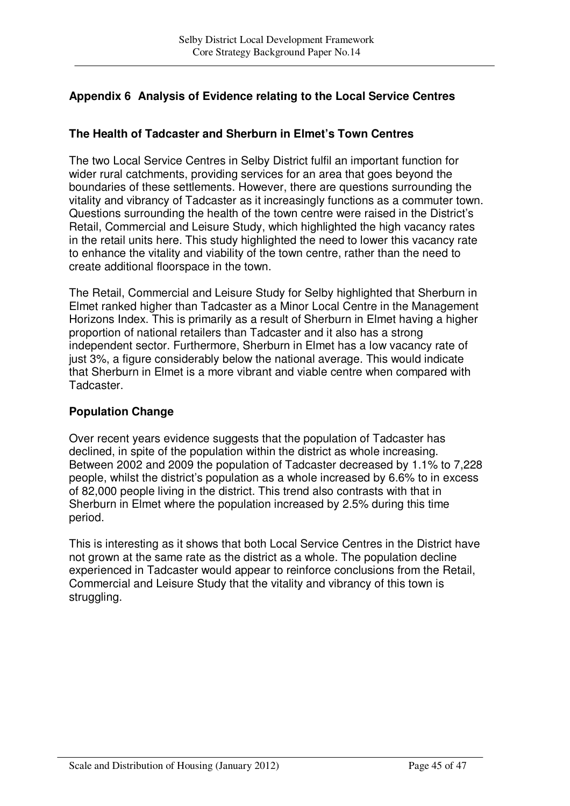# **Appendix 6 Analysis of Evidence relating to the Local Service Centres**

## **The Health of Tadcaster and Sherburn in Elmet's Town Centres**

The two Local Service Centres in Selby District fulfil an important function for wider rural catchments, providing services for an area that goes beyond the boundaries of these settlements. However, there are questions surrounding the vitality and vibrancy of Tadcaster as it increasingly functions as a commuter town. Questions surrounding the health of the town centre were raised in the District's Retail, Commercial and Leisure Study, which highlighted the high vacancy rates in the retail units here. This study highlighted the need to lower this vacancy rate to enhance the vitality and viability of the town centre, rather than the need to create additional floorspace in the town.

The Retail, Commercial and Leisure Study for Selby highlighted that Sherburn in Elmet ranked higher than Tadcaster as a Minor Local Centre in the Management Horizons Index. This is primarily as a result of Sherburn in Elmet having a higher proportion of national retailers than Tadcaster and it also has a strong independent sector. Furthermore, Sherburn in Elmet has a low vacancy rate of just 3%, a figure considerably below the national average. This would indicate that Sherburn in Elmet is a more vibrant and viable centre when compared with Tadcaster.

## **Population Change**

Over recent years evidence suggests that the population of Tadcaster has declined, in spite of the population within the district as whole increasing. Between 2002 and 2009 the population of Tadcaster decreased by 1.1% to 7,228 people, whilst the district's population as a whole increased by 6.6% to in excess of 82,000 people living in the district. This trend also contrasts with that in Sherburn in Elmet where the population increased by 2.5% during this time period.

This is interesting as it shows that both Local Service Centres in the District have not grown at the same rate as the district as a whole. The population decline experienced in Tadcaster would appear to reinforce conclusions from the Retail, Commercial and Leisure Study that the vitality and vibrancy of this town is struggling.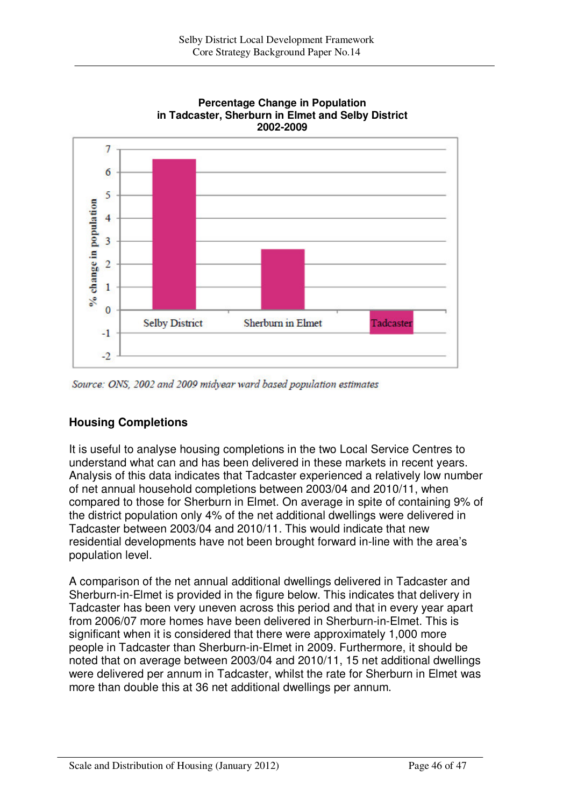



Source: ONS, 2002 and 2009 midvear ward based population estimates

## **Housing Completions**

It is useful to analyse housing completions in the two Local Service Centres to understand what can and has been delivered in these markets in recent years. Analysis of this data indicates that Tadcaster experienced a relatively low number of net annual household completions between 2003/04 and 2010/11, when compared to those for Sherburn in Elmet. On average in spite of containing 9% of the district population only 4% of the net additional dwellings were delivered in Tadcaster between 2003/04 and 2010/11. This would indicate that new residential developments have not been brought forward in-line with the area's population level.

A comparison of the net annual additional dwellings delivered in Tadcaster and Sherburn-in-Elmet is provided in the figure below. This indicates that delivery in Tadcaster has been very uneven across this period and that in every year apart from 2006/07 more homes have been delivered in Sherburn-in-Elmet. This is significant when it is considered that there were approximately 1,000 more people in Tadcaster than Sherburn-in-Elmet in 2009. Furthermore, it should be noted that on average between 2003/04 and 2010/11, 15 net additional dwellings were delivered per annum in Tadcaster, whilst the rate for Sherburn in Elmet was more than double this at 36 net additional dwellings per annum.